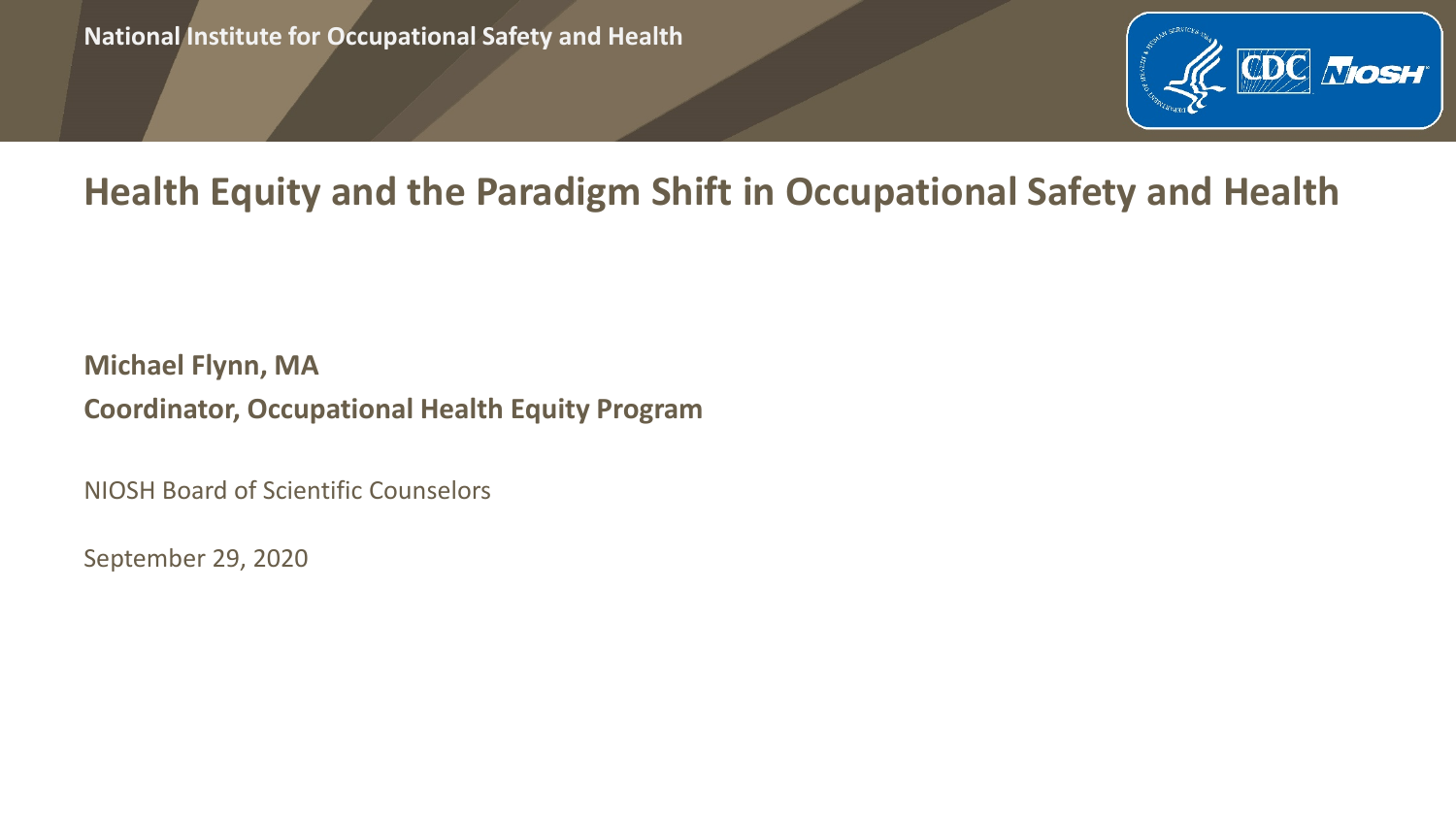

## **Health Equity and the Paradigm Shift in Occupational Safety and Health**

**Michael Flynn, MA Coordinator, Occupational Health Equity Program**

NIOSH Board of Scientific Counselors

September 29, 2020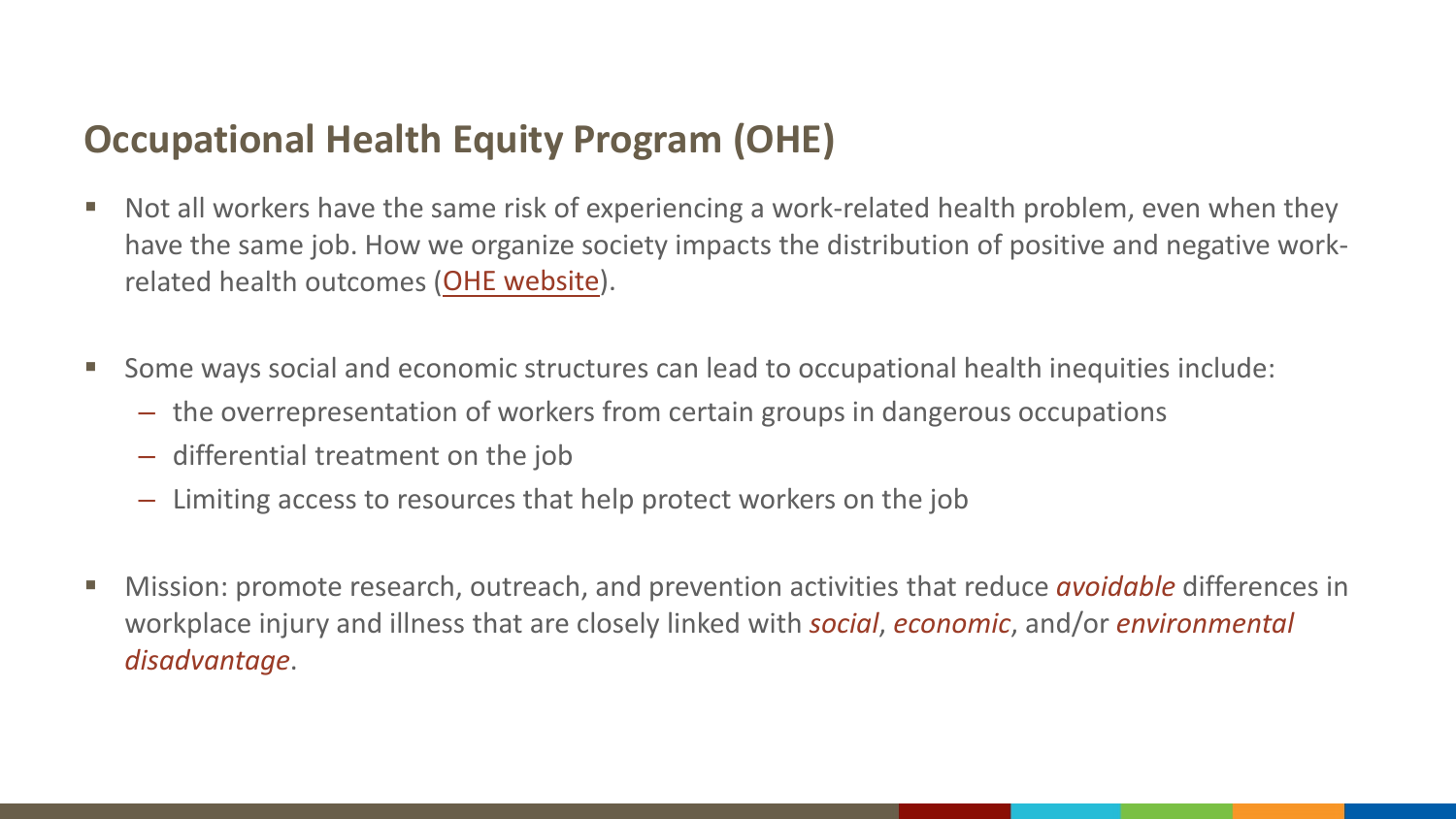## **Occupational Health Equity Program (OHE)**

- Not all workers have the same risk of experiencing a work-related health problem, even when they have the same job. How we organize society impacts the distribution of positive and negative workrelated health outcomes ([OHE website](https://www.cdc.gov/niosh/programs/ohe/default.html)).
- Some ways social and economic structures can lead to occupational health inequities include:
	- the overrepresentation of workers from certain groups in dangerous occupations
	- differential treatment on the job
	- Limiting access to resources that help protect workers on the job
- Mission: promote research, outreach, and prevention activities that reduce *avoidable* differences in workplace injury and illness that are closely linked with *social*, *economic*, and/or *environmental disadvantage*.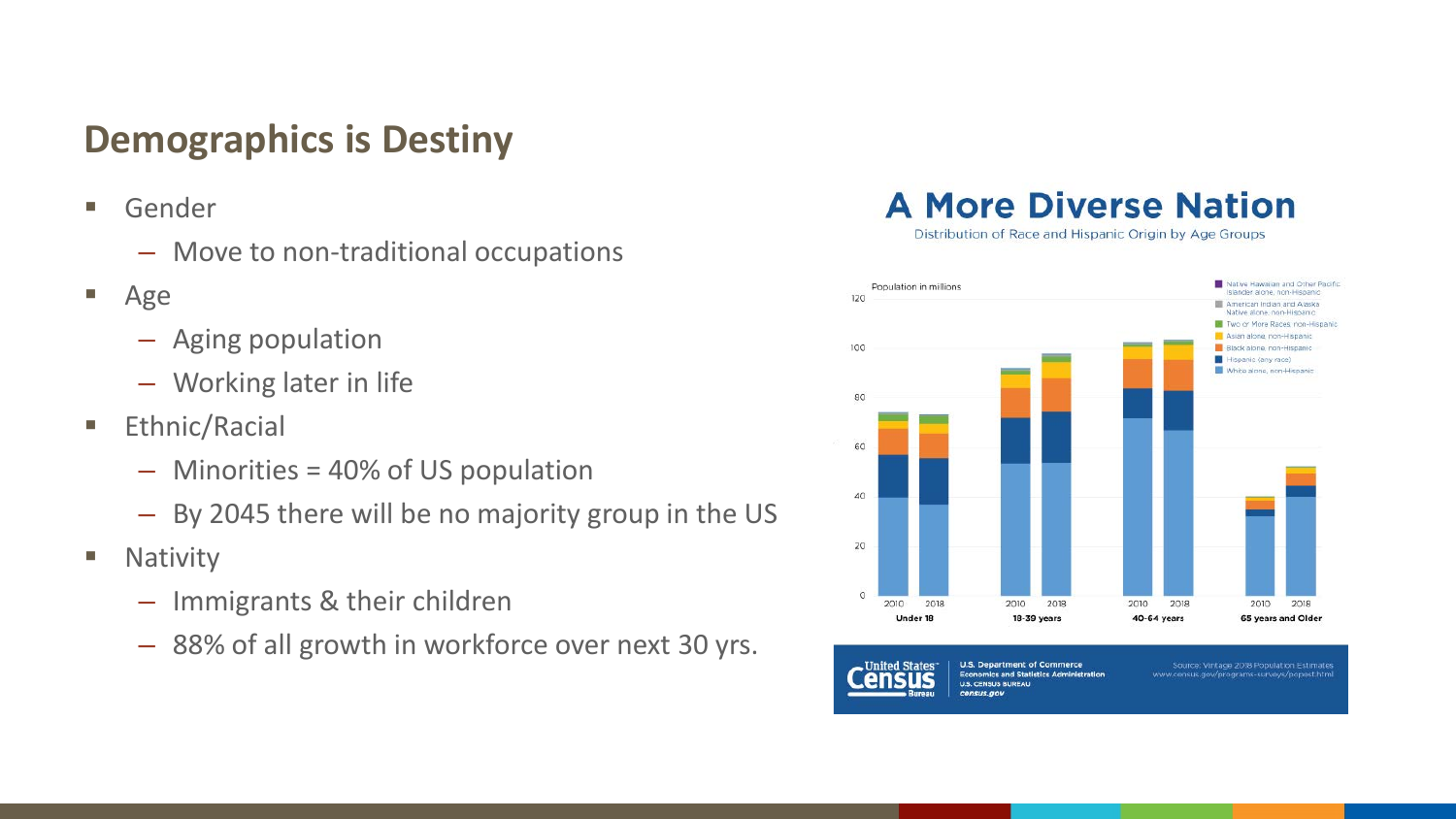## **Demographics is Destiny**

- Gender
	- Move to non-traditional occupations
- Age
	- Aging population
	- Working later in life
- **Ethnic/Racial** 
	- Minorities = 40% of US population
	- By 2045 there will be no majority group in the US
- **Nativity** 
	- Immigrants & their children
	- 88% of all growth in workforce over next 30 yrs.

#### **A More Diverse Nation**

Distribution of Race and Hispanic Origin by Age Groups



**United States U.S. Department of Commerce Economics and Statistics Administration U.S. CENSUS BUREAU** census.gov

Source: Vintage 2018 Population Estimates www.census.gov/programs-surveys/popest.html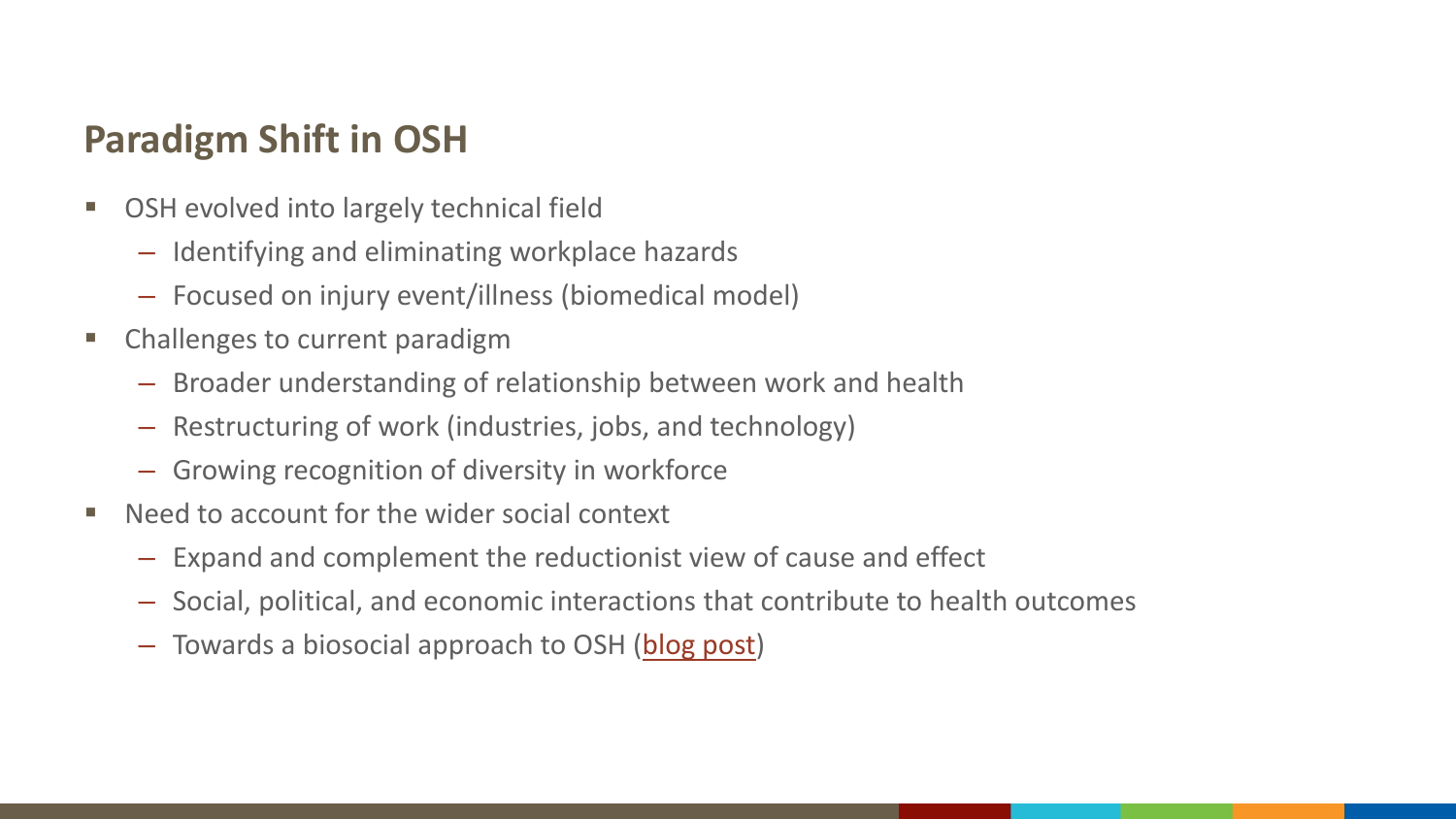## **Paradigm Shift in OSH**

- OSH evolved into largely technical field
	- Identifying and eliminating workplace hazards
	- Focused on injury event/illness (biomedical model)
- Challenges to current paradigm
	- Broader understanding of relationship between work and health
	- Restructuring of work (industries, jobs, and technology)
	- Growing recognition of diversity in workforce
- Need to account for the wider social context
	- Expand and complement the reductionist view of cause and effect
	- Social, political, and economic interactions that contribute to health outcomes
	- Towards a biosocial approach to OSH [\(blog post](https://blogs.cdc.gov/niosh-science-blog/2019/03/08/biosocial-osh/))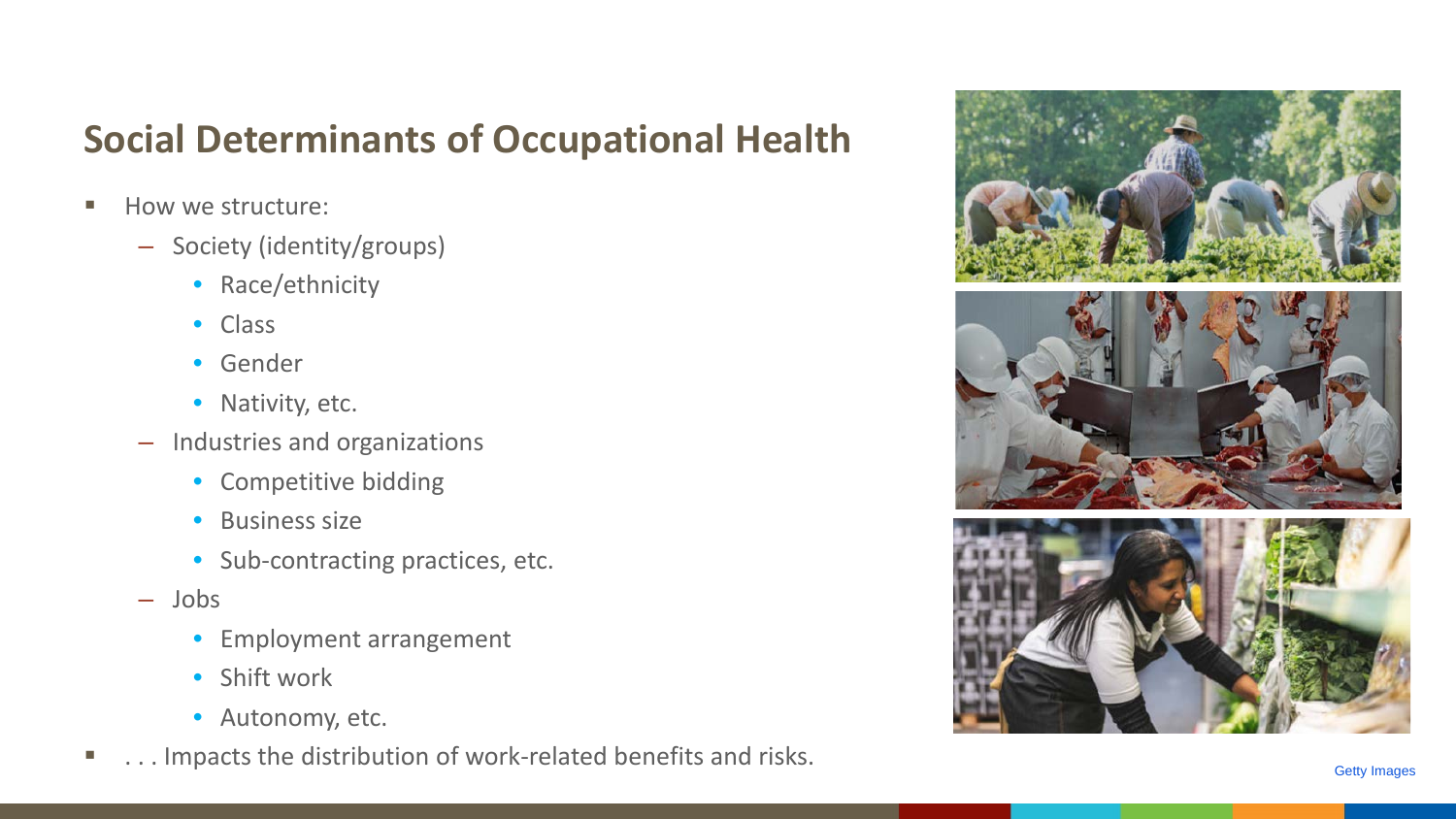## **Social Determinants of Occupational Health**

- **How we structure:** 
	- Society (identity/groups)
		- Race/ethnicity
		- Class
		- Gender
		- Nativity, etc.
	- Industries and organizations
		- Competitive bidding
		- Business size
		- Sub-contracting practices, etc.
	- Jobs
		- Employment arrangement
		- Shift work
		- Autonomy, etc.
- **...** Impacts the distribution of work-related benefits and risks.

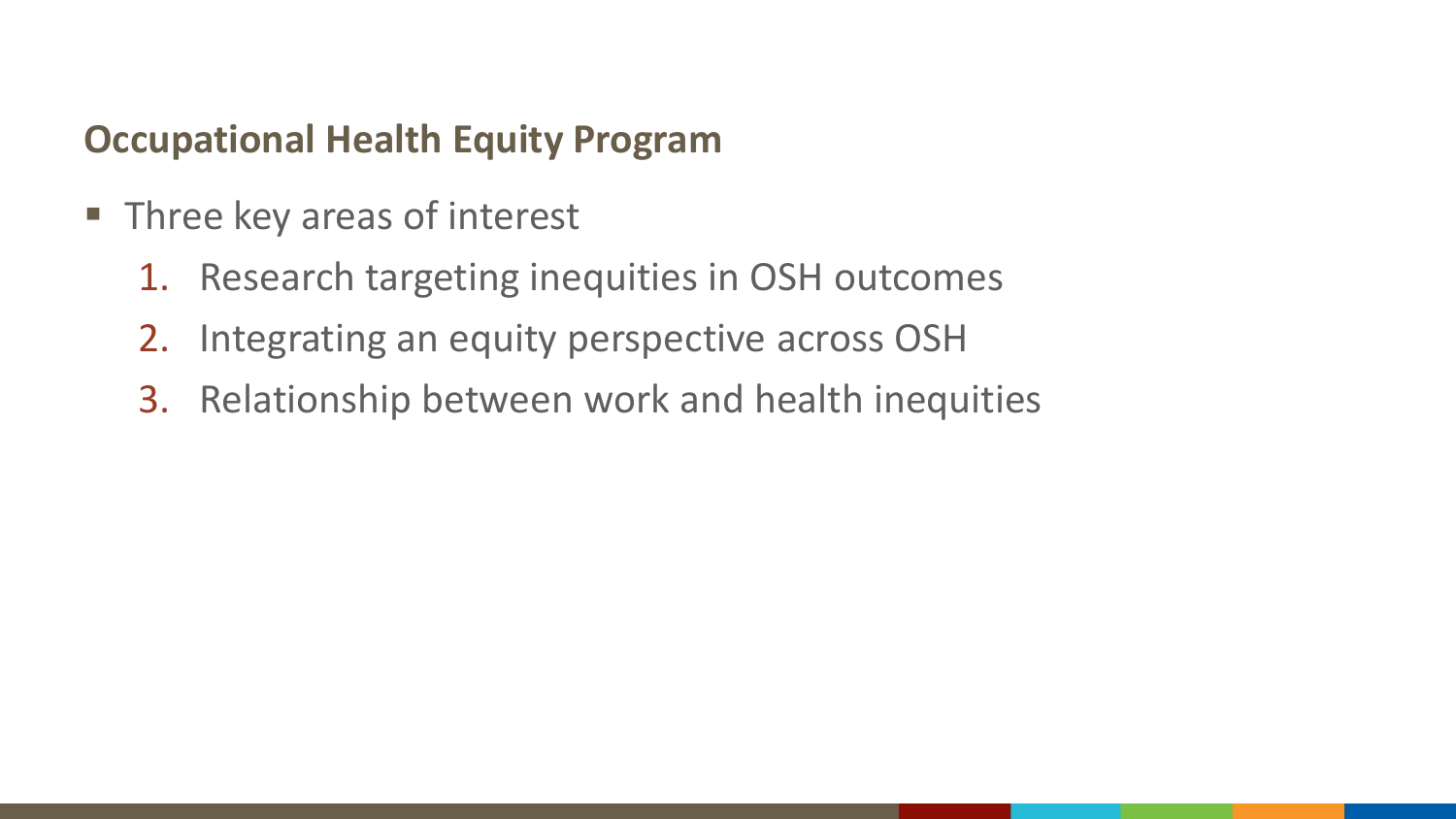## **Occupational Health Equity Program**

- **Three key areas of interest** 
	- 1. Research targeting inequities in OSH outcomes
	- 2. Integrating an equity perspective across OSH
	- 3. Relationship between work and health inequities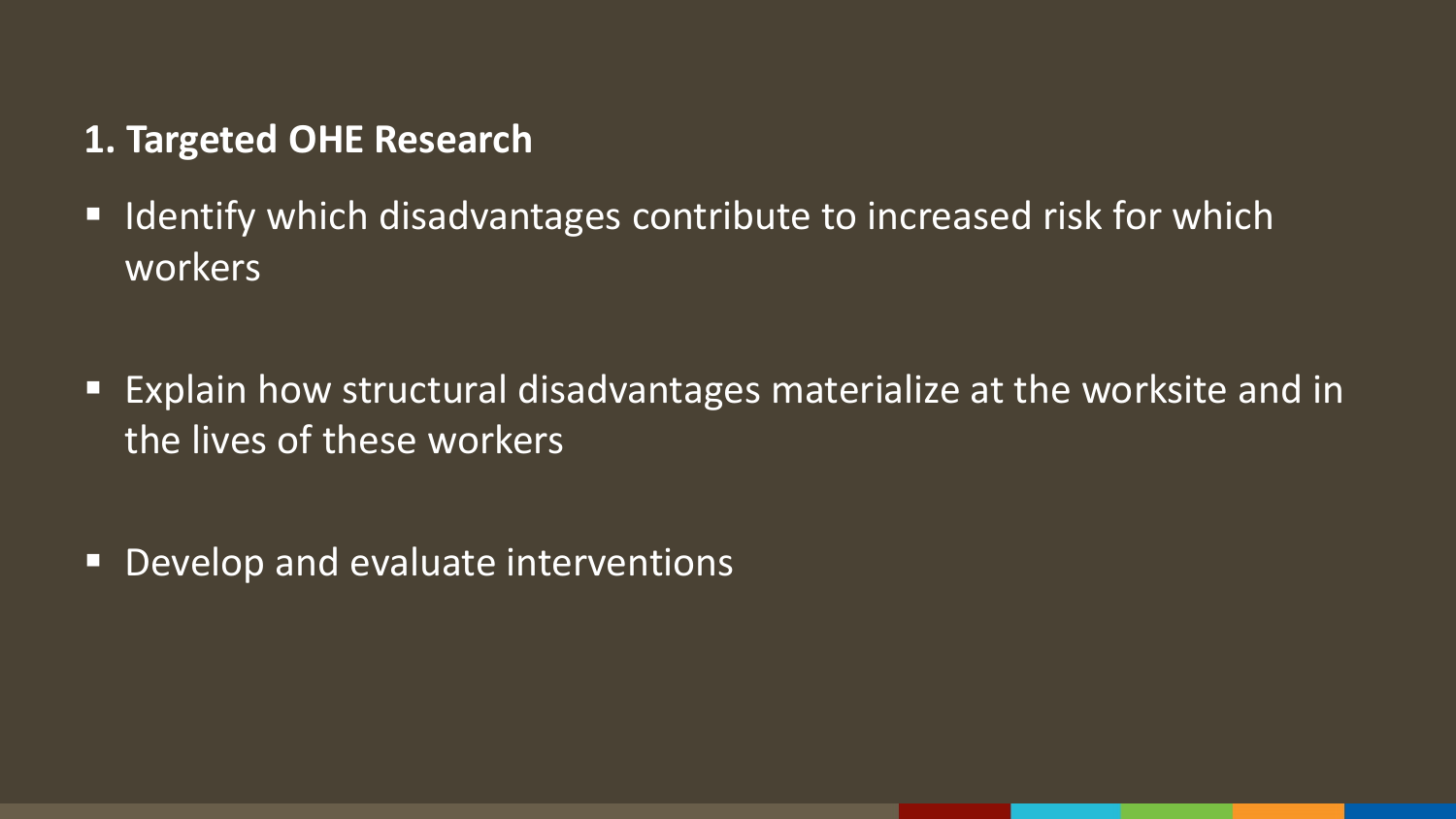#### **1. Targeted OHE Research**

■ Identify which disadvantages contribute to increased risk for which workers

■ Explain how structural disadvantages materialize at the worksite and in the lives of these workers

■ Develop and evaluate interventions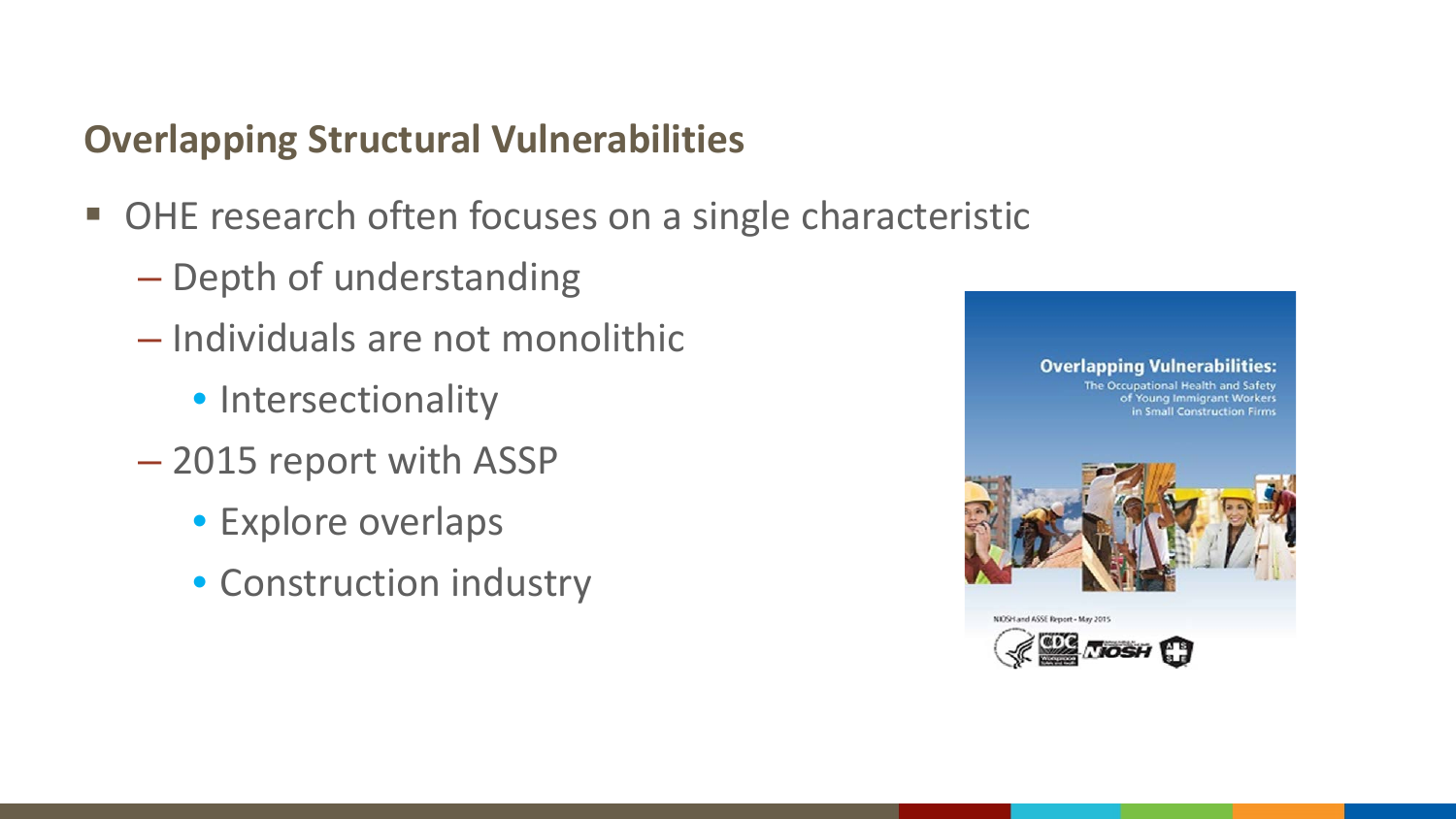## **Overlapping Structural Vulnerabilities**

- OHE research often focuses on a single characteristic
	- Depth of understanding
	- Individuals are not monolithic
		- Intersectionality
	- 2015 report with ASSP
		- Explore overlaps
		- Construction industry

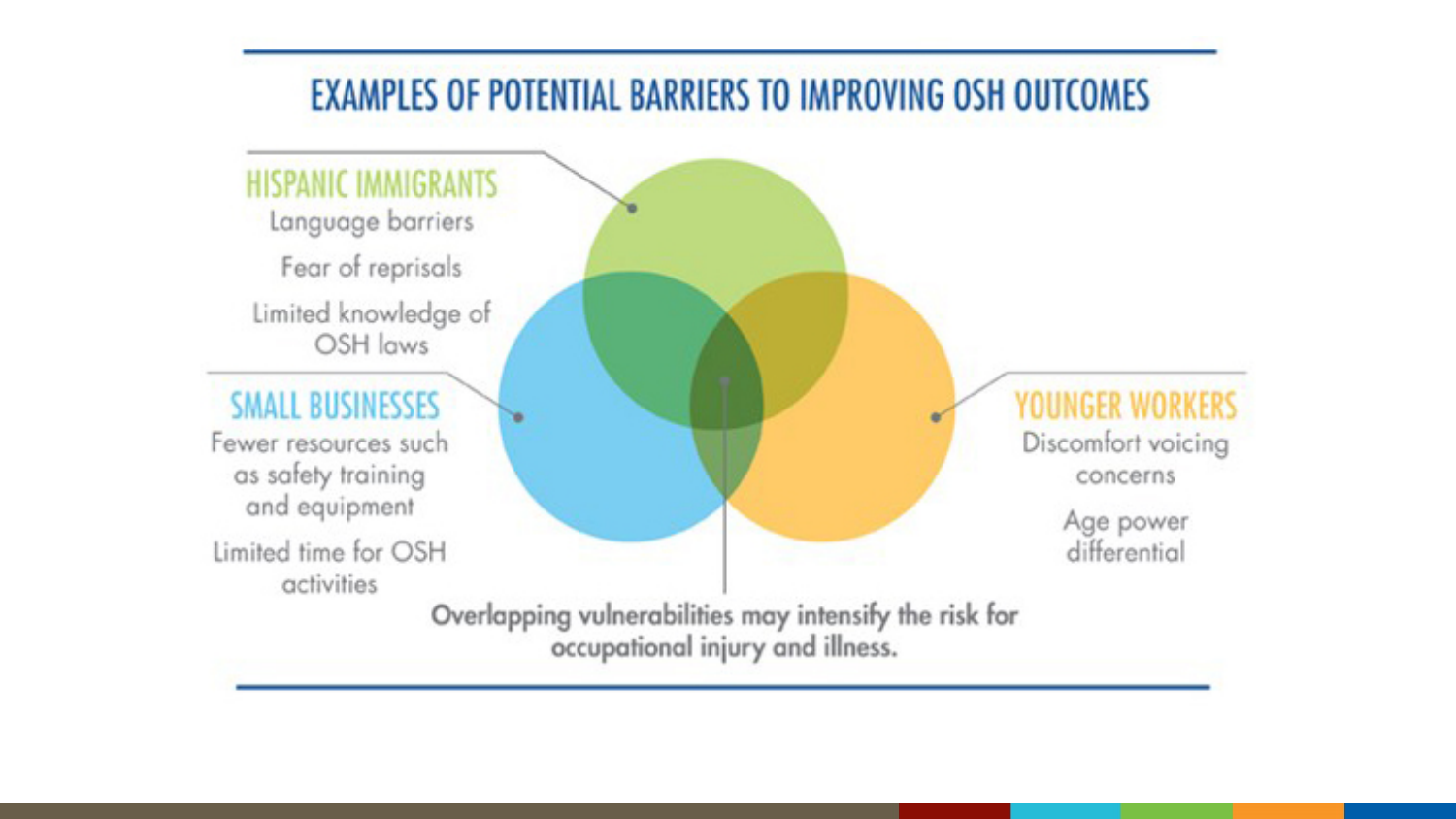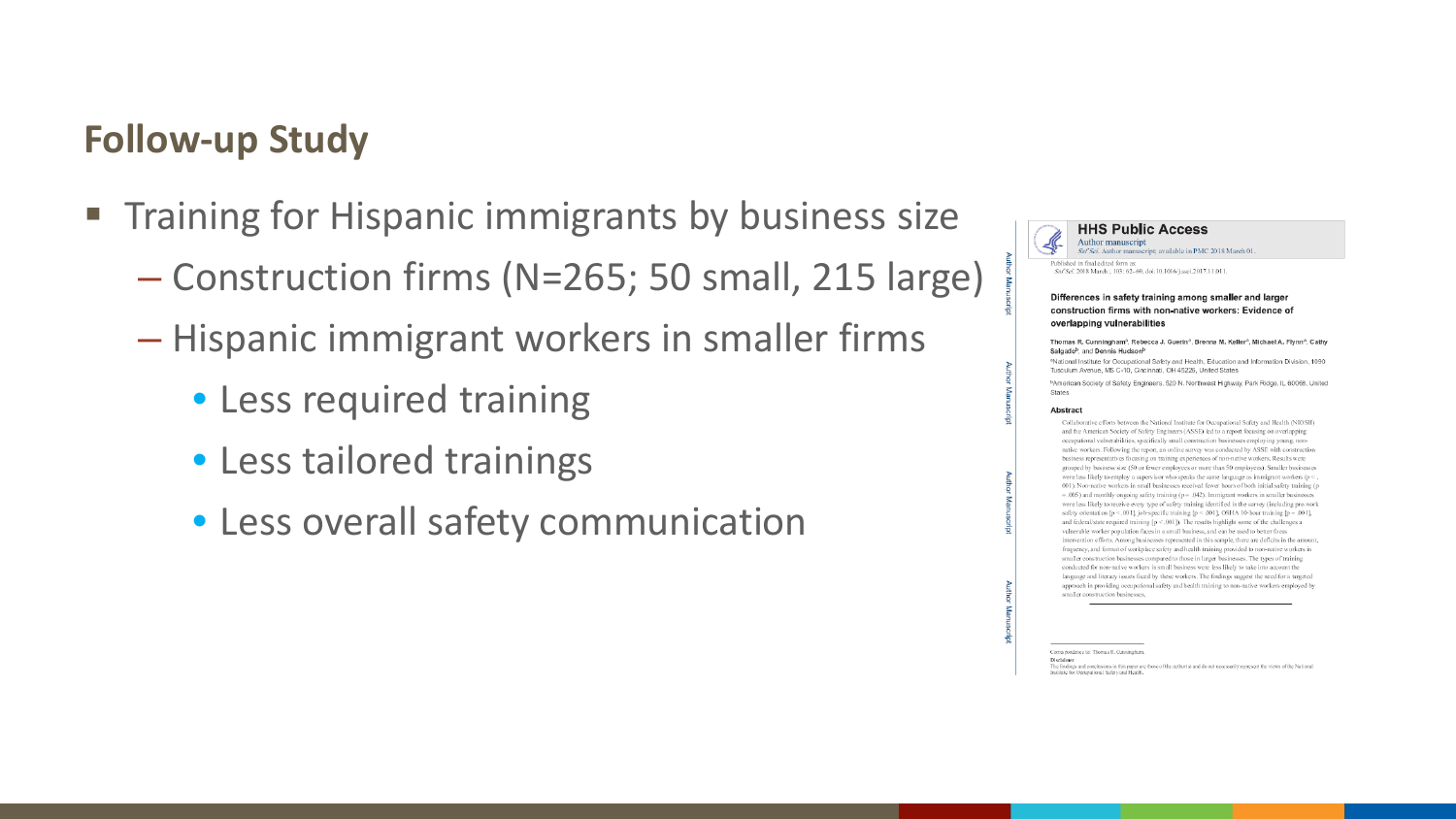#### **Follow-up Study**

- **Training for Hispanic immigrants by business size** 
	- Construction firms (N=265; 50 small, 215 large)
	- Hispanic immigrant workers in smaller firms
		- Less required training
		- Less tailored trainings
		- Less overall safety communication



#### Differences in safety training among smaller and larger construction firms with non-native workers: Evidence of overlapping vulnerabilities

#### Thomas R. Cunningham<sup>a</sup>, Rebecca J. Guerin<sup>a</sup>, Brenna M. Keller<sup>a</sup>, Michael A. Flynn<sup>a</sup>, Cathy Salgado<sup>b</sup>, and Dennis Hudson<sup>b</sup>

<sup>a</sup>National Institute for Occupational Safety and Health. Education and Information Division, 1090 Tusculum Avenue, MS C-10, Cincinnati, OH 45226, United States

<sup>b</sup>American Society of Safety Engineers, 520 N. Northwest Highway, Park Ridge, IL 60068, United States

#### Abstract

Collaborative efforts between the National Institute for Occupational Safety and Health (NIOSH) and the American Society of Safety Engineers (ASSE) led to a report focusing on overlapping occupational vulnerabilities, specifically small construction businesses employing young, nonnative workers. Following the report, an online survey was conducted by ASSE with construction business representatives focusing on training experiences of non-native workers. Results were grouped by business size (50 or fewer employees or more than 50 employees). Smaller businesses were less likely to employ a supervisor who speaks the same language as immigrant workers (p < 001). Non-native workers in small businesses received fewer hours of both initial safety training (p  $-0.005$ ) and monthly ongoing safety training ( $p = 0.042$ ). Immigrant workers in smaller businesses were less likely to receive every type of safety training identified in the survey (including pre-work safety orientation [ $p < .001$ ], job-specific training [ $p < .001$ ], OSHA 10-hour training [ $p = .001$ ], and federal/state required training  $[p \le 0.001]$ ). The results highlight some of the challenges a vulnerable worker population faces in a small business, and can be used to better focus intervention efforts. Among businesses represented in this sample, there are defleits in the amount, frequency, and format of workplace safety and health training provided to non-native workers in smaller construction businesses compared to those in larger businesses. The types of training conducted for non-native workers in small business were less likely to take into account the language and literacy issues faced by these workers. The findings suggest the need for a targeted approach in providing occupational safety and health training to non-native workers employed by smaller construction businesses

Correspondence to: Thomas R. Cunningham

The findings and conclusions in this paper are those of the author(s) and do not necessarily represent the views of the National Institute for Occupational Safety and Health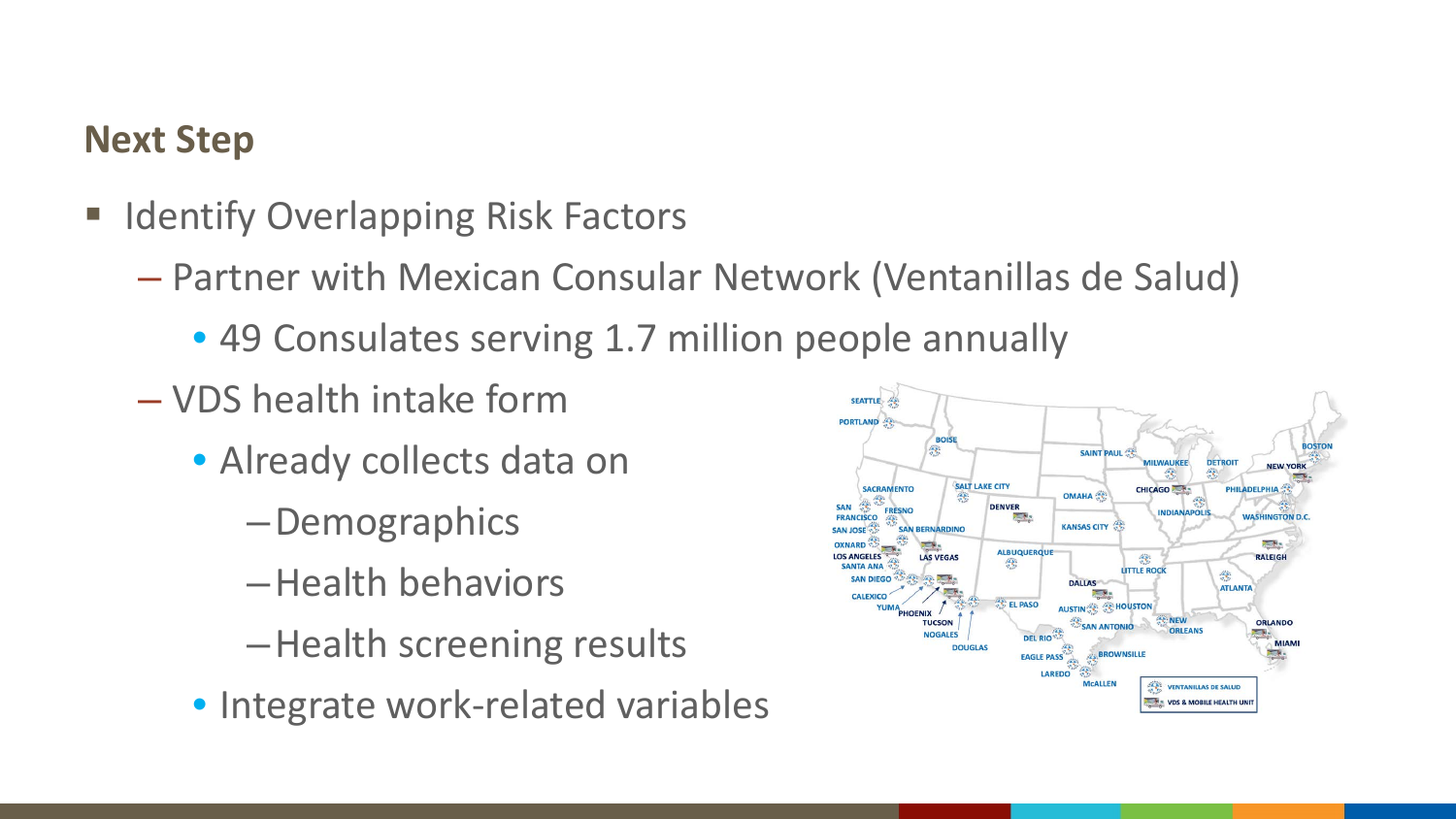## **Next Step**

- **E** Identify Overlapping Risk Factors
	- Partner with Mexican Consular Network (Ventanillas de Salud)
		- 49 Consulates serving 1.7 million people annually
	- VDS health intake form
		- Already collects data on
			- –Demographics
			- –Health behaviors
			- –Health screening results
		- Integrate work-related variables

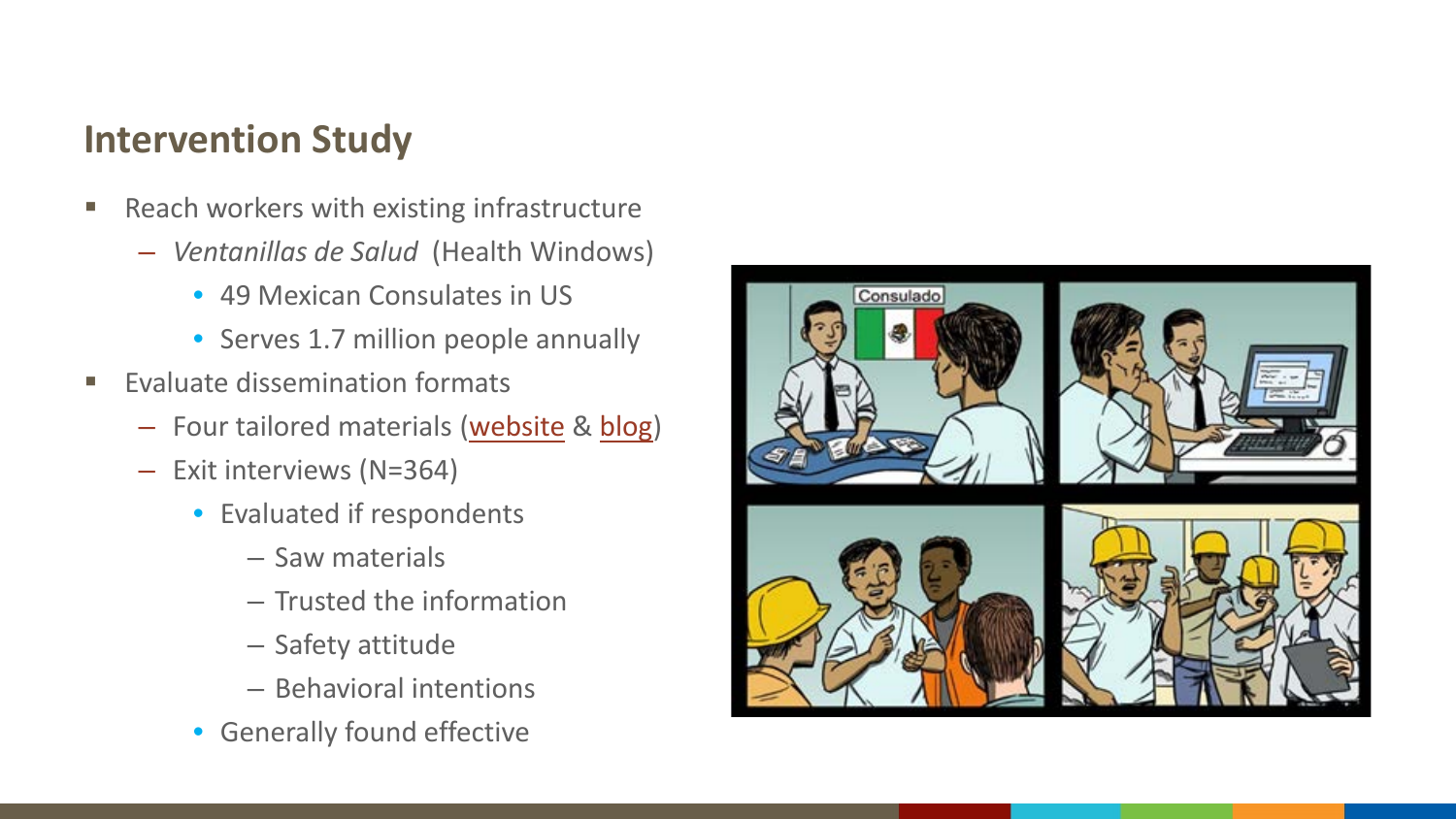## **Intervention Study**

- **Reach workers with existing infrastructure** 
	- *Ventanillas de Salud* (Health Windows)
		- 49 Mexican Consulates in US
		- Serves 1.7 million people annually
- Evaluate dissemination formats
	- Four tailored materials [\(website](https://www.cdc.gov/niosh/topics/protejase/default.html) & [blog](https://blogs.cdc.gov/niosh-science-blog/2015/09/01/protejase1/))
	- Exit interviews (N=364)
		- Evaluated if respondents
			- Saw materials
			- Trusted the information
			- Safety attitude
			- Behavioral intentions
		- Generally found effective

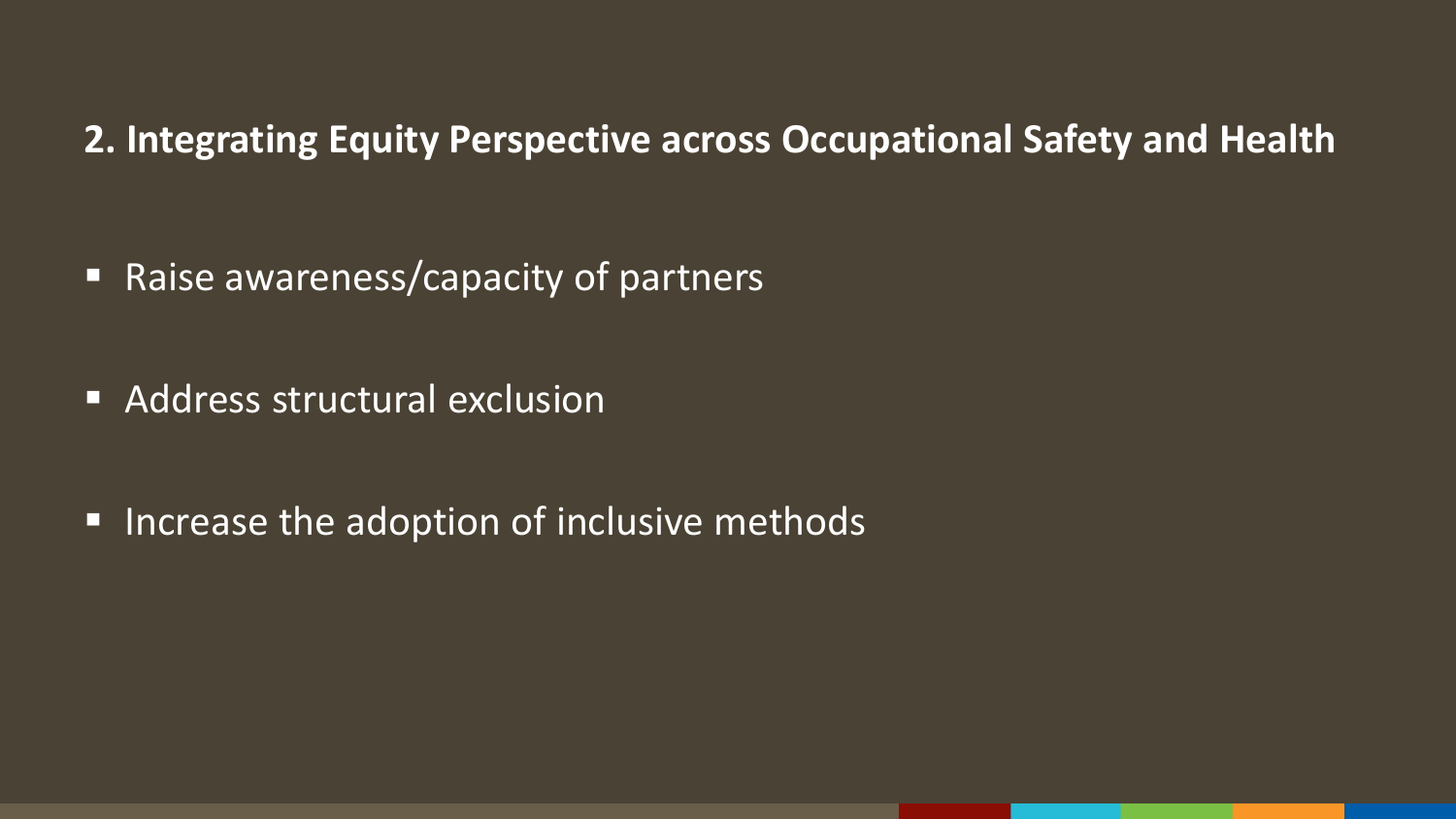**2. Integrating Equity Perspective across Occupational Safety and Health**

■ Raise awareness/capacity of partners

**Address structural exclusion** 

■ Increase the adoption of inclusive methods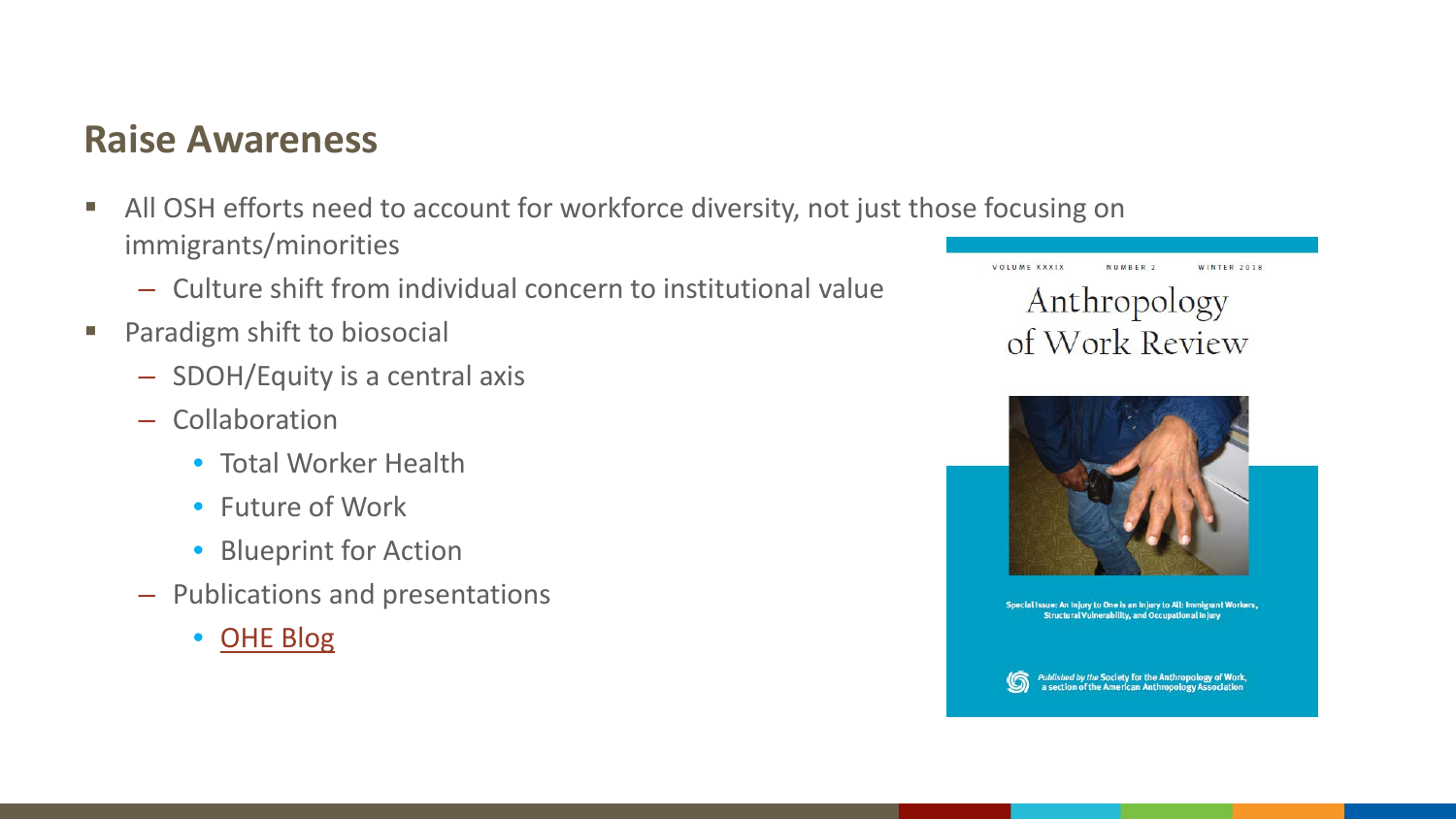#### **Raise Awareness**

- All OSH efforts need to account for workforce diversity, not just those focusing on immigrants/minorities
	- Culture shift from individual concern to institutional value
- **Paradigm shift to biosocial** 
	- SDOH/Equity is a central axis
	- Collaboration
		- Total Worker Health
		- Future of Work
		- Blueprint for Action
	- Publications and presentations
		- [OHE Blog](https://blogs.cdc.gov/niosh-science-blog/2019/03/08/biosocial-osh/)

VOLUME XXXIX NUMBER 2 WINTER 2018 Anthropology of Work Review



Special Issue: An Injury to One is an Injury to All: Immigrant Workers, Structural Vulnerability, and Occupational Injury

Published by the Society for the Anthropology of Work,<br>a section of the American Anthropology Association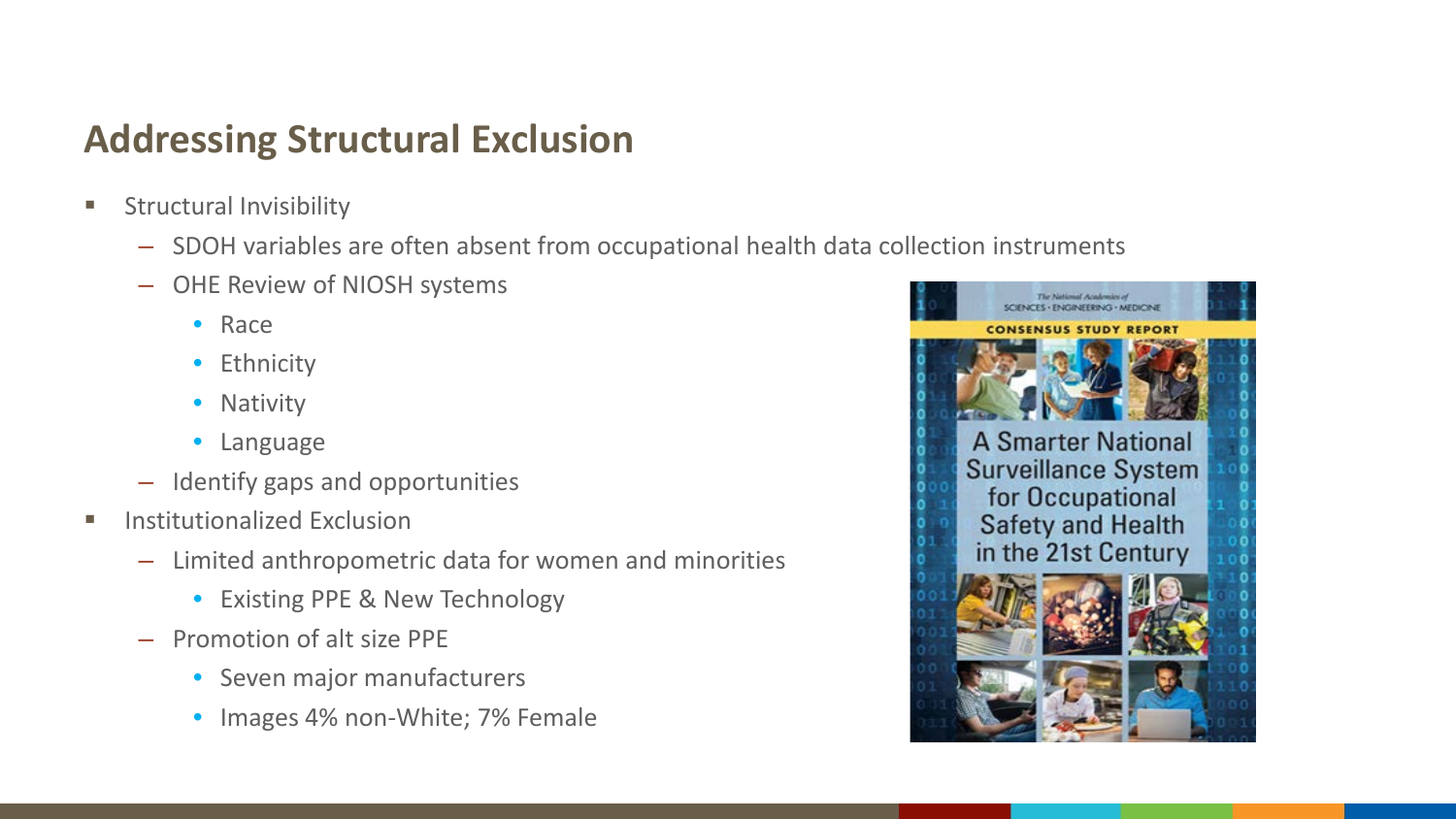## **Addressing Structural Exclusion**

- **Structural Invisibility** 
	- SDOH variables are often absent from occupational health data collection instruments
	- OHE Review of NIOSH systems
		- Race
		- Ethnicity
		- Nativity
		- Language
	- Identify gaps and opportunities
- **Institutionalized Exclusion** 
	- Limited anthropometric data for women and minorities
		- Existing PPE & New Technology
	- Promotion of alt size PPE
		- Seven major manufacturers
		- Images 4% non-White; 7% Female

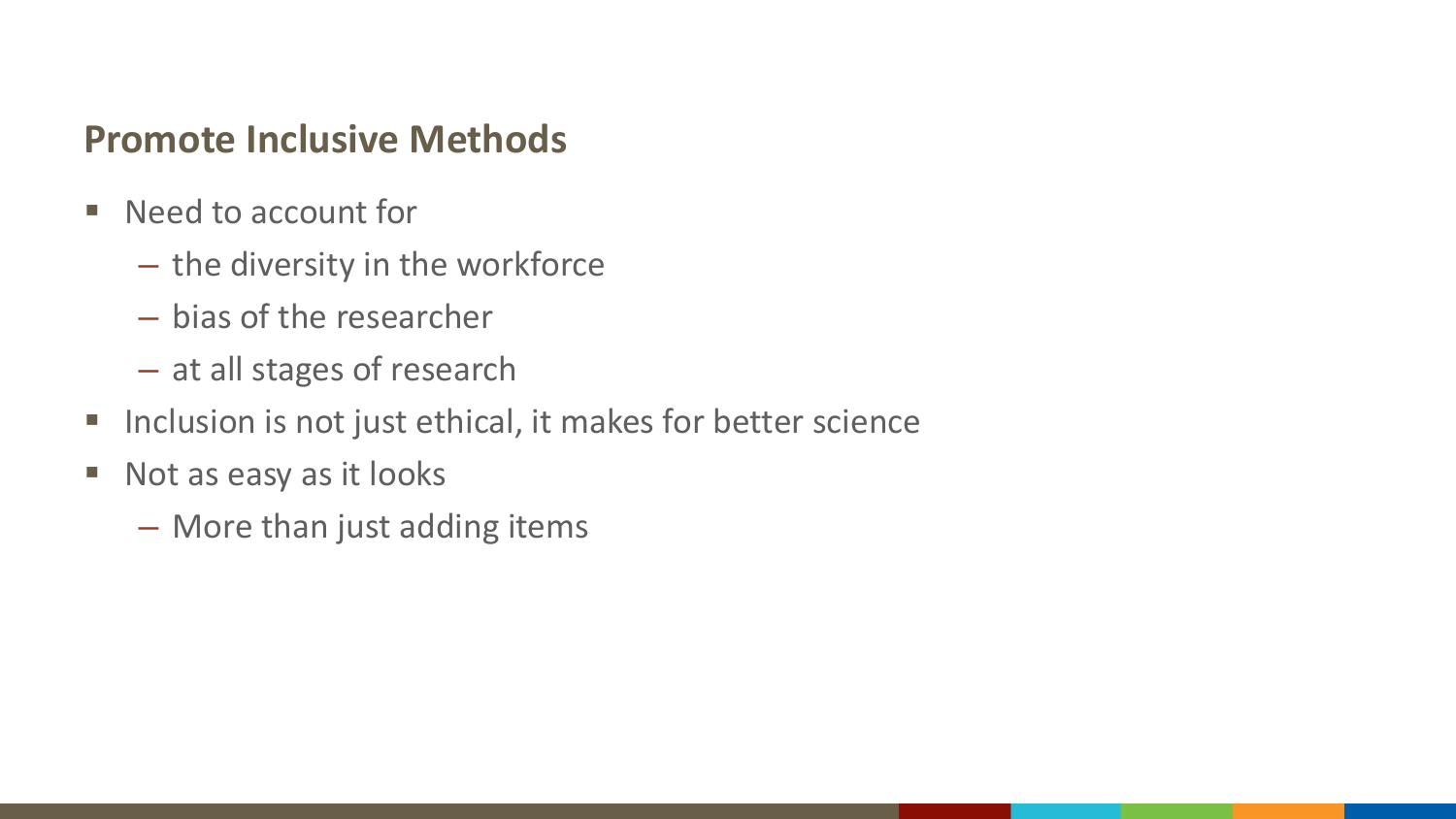### **Promote Inclusive Methods**

- Need to account for
	- the diversity in the workforce
	- bias of the researcher
	- at all stages of research
- **Inclusion is not just ethical, it makes for better science**
- Not as easy as it looks
	- More than just adding items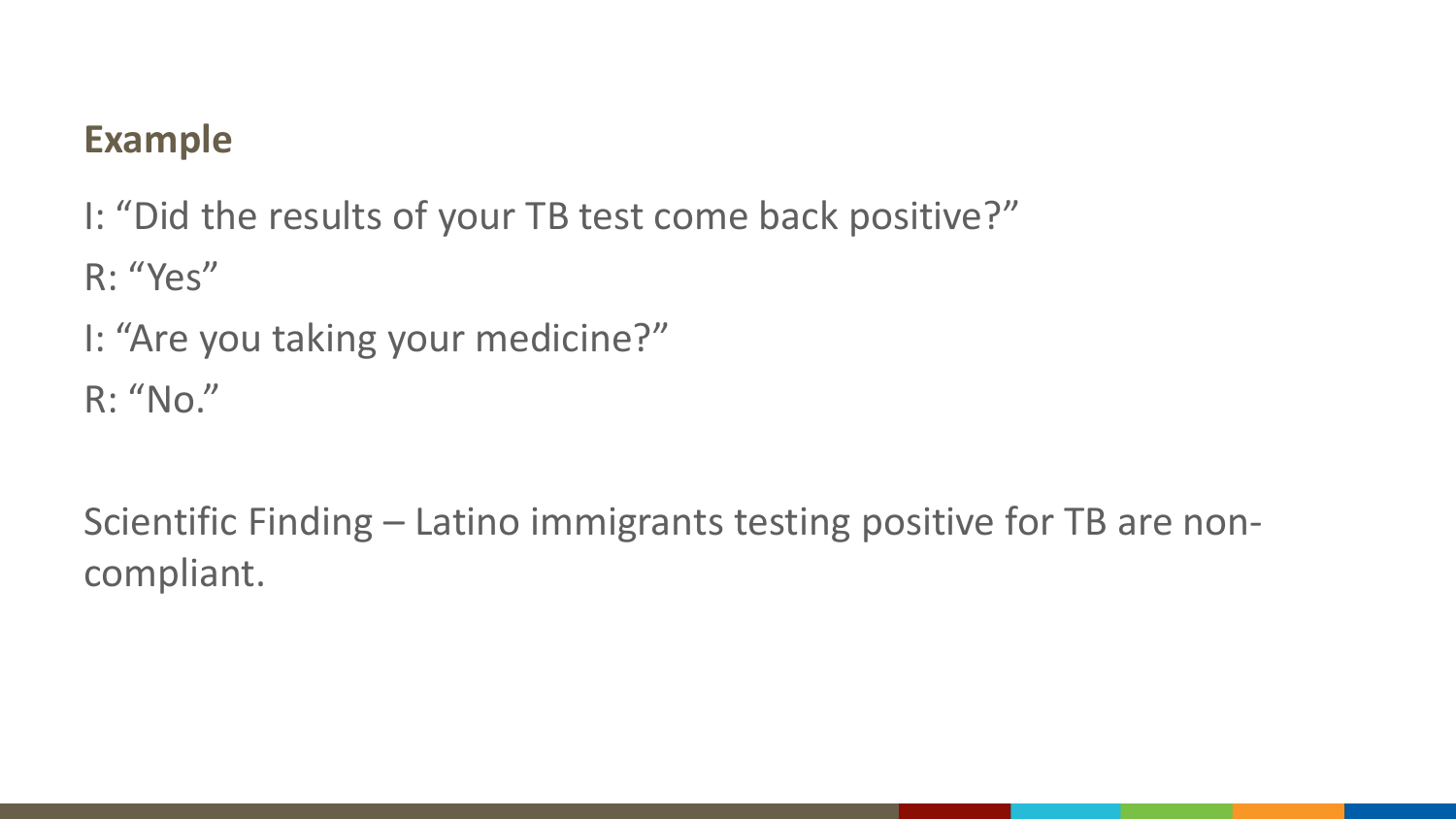## **Example**

I: "Did the results of your TB test come back positive?"

R: "Yes"

I: "Are you taking your medicine?"

R: "No."

Scientific Finding – Latino immigrants testing positive for TB are noncompliant.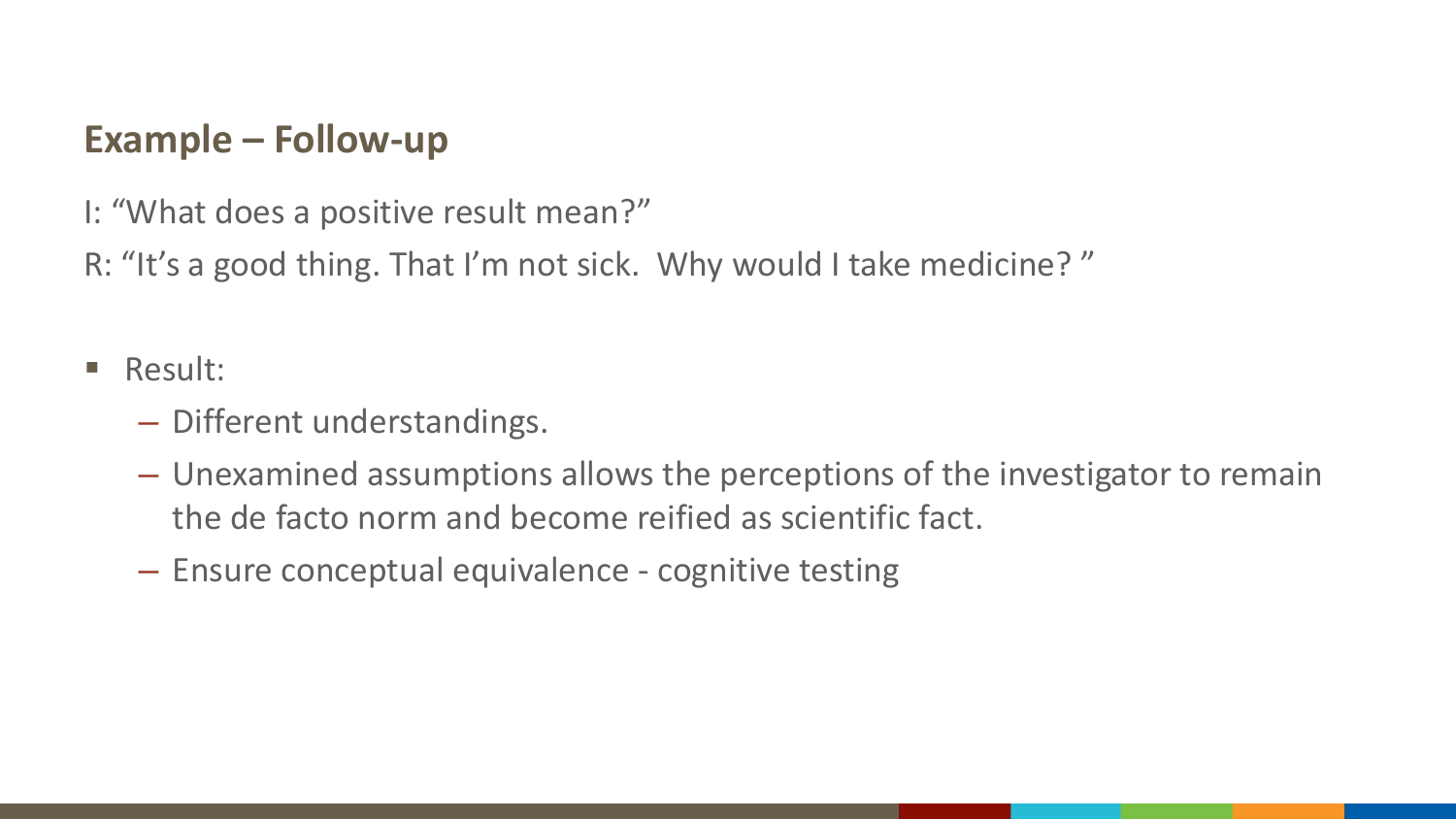## **Example – Follow-up**

I: "What does a positive result mean?"

R: "It's a good thing. That I'm not sick. Why would I take medicine? "

- **Result:** 
	- Different understandings.
	- Unexamined assumptions allows the perceptions of the investigator to remain the de facto norm and become reified as scientific fact.
	- Ensure conceptual equivalence cognitive testing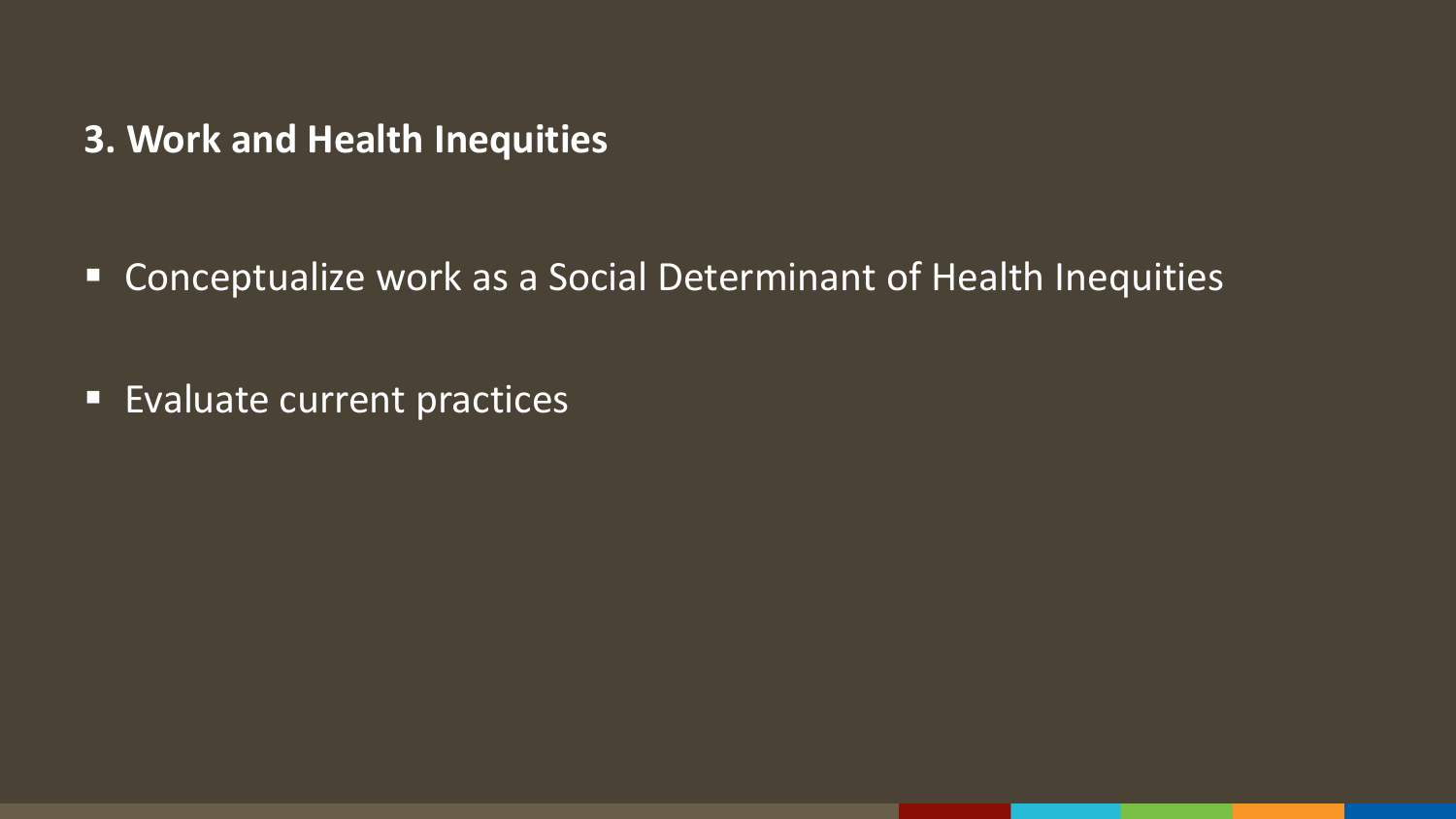#### **3. Work and Health Inequities**

Conceptualize work as a Social Determinant of Health Inequities

**Evaluate current practices**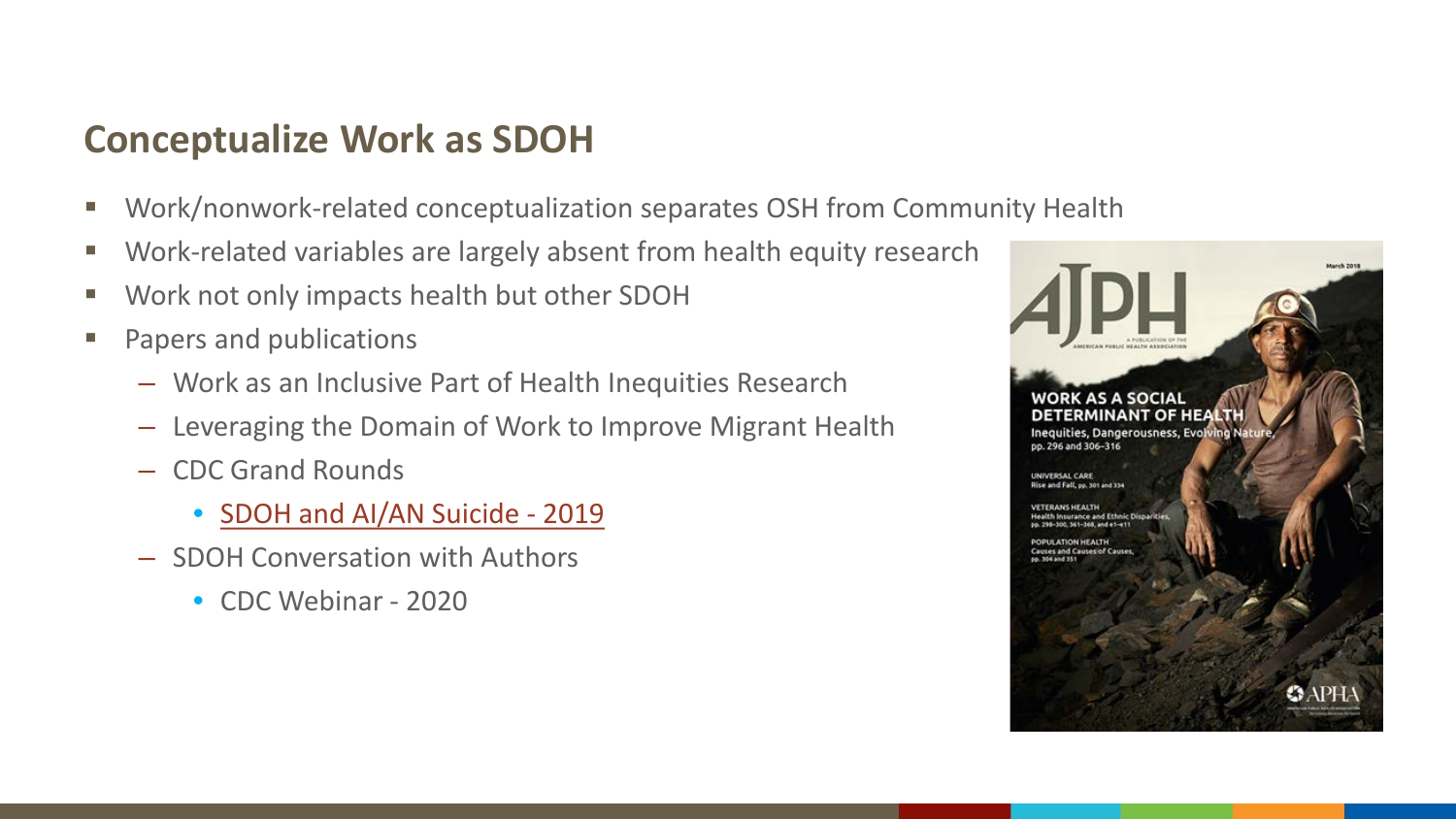#### **Conceptualize Work as SDOH**

- Work/nonwork-related conceptualization separates OSH from Community Health
- **Work-related variables are largely absent from health equity research**
- Work not only impacts health but other SDOH
- **Papers and publications** 
	- Work as an Inclusive Part of Health Inequities Research
	- Leveraging the Domain of Work to Improve Migrant Health
	- CDC Grand Rounds
		- [SDOH and AI/AN Suicide -](https://www.cdc.gov/grand-rounds/pp/2019/20190319-preventing-suicidal-behavior.html) 2019
	- SDOH Conversation with Authors
		- CDC Webinar 2020

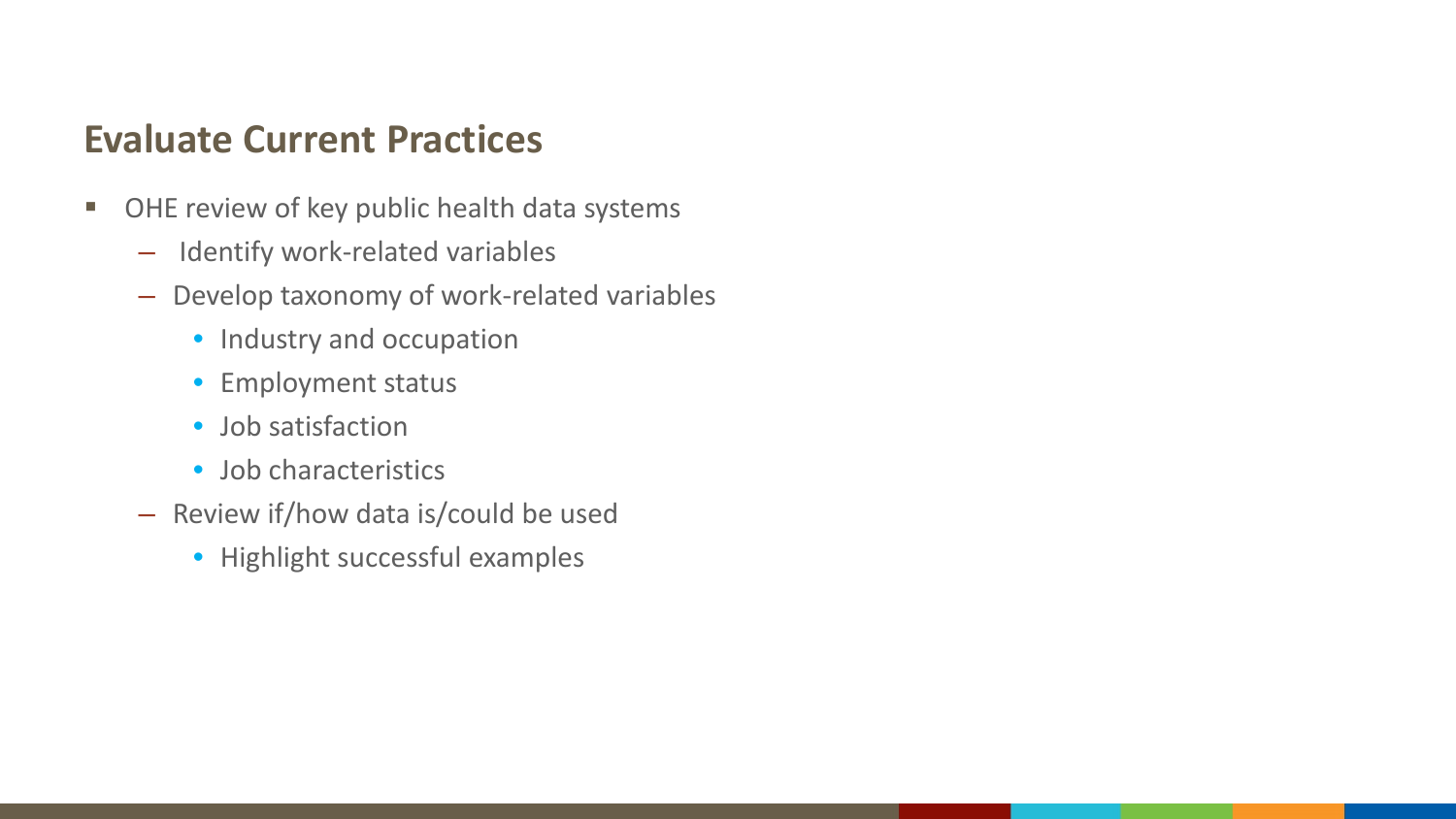#### **Evaluate Current Practices**

- **OHE review of key public health data systems** 
	- Identify work-related variables
	- Develop taxonomy of work-related variables
		- Industry and occupation
		- Employment status
		- Job satisfaction
		- Job characteristics
	- Review if/how data is/could be used
		- Highlight successful examples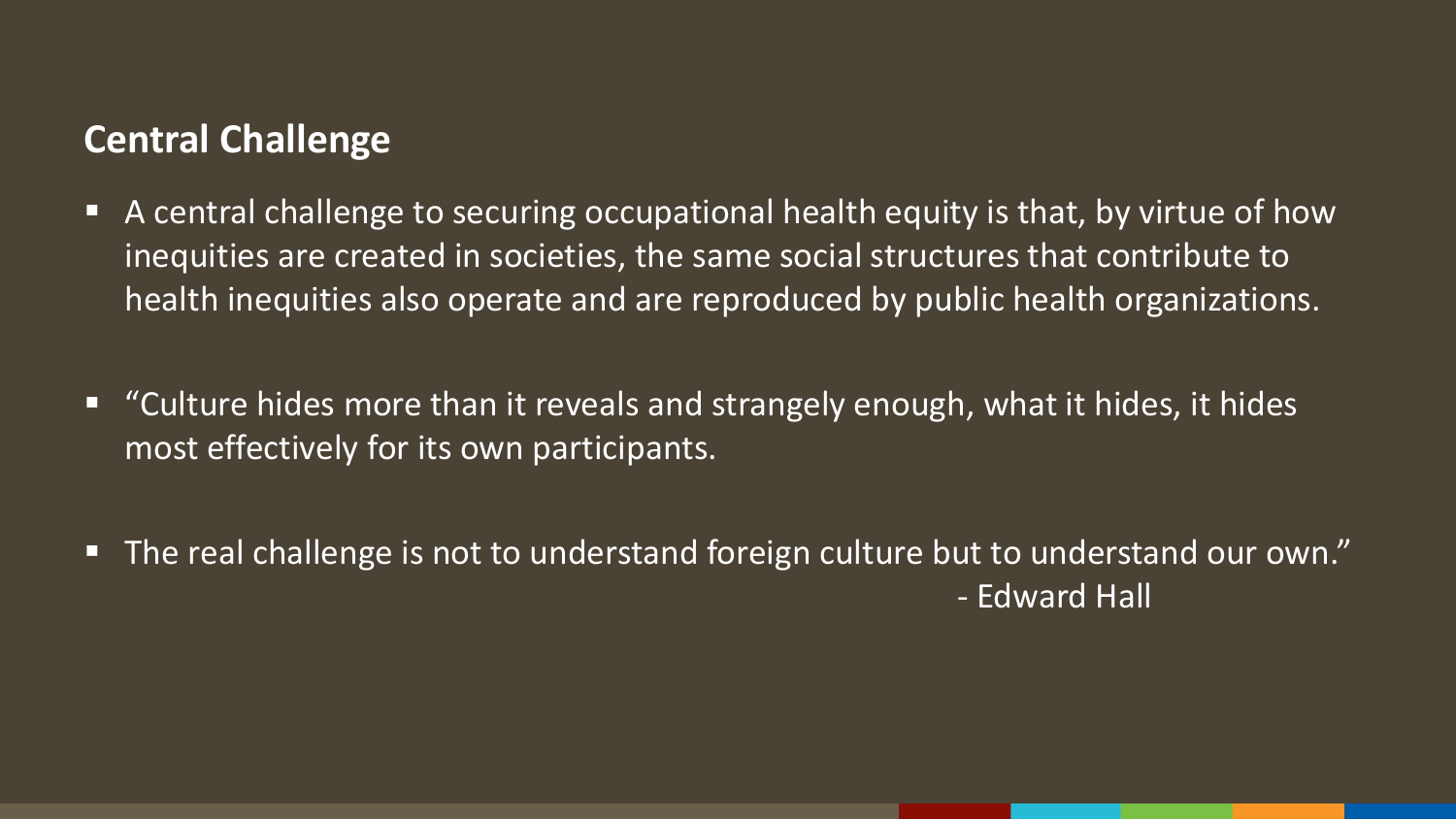#### **Central Challenge**

- A central challenge to securing occupational health equity is that, by virtue of how inequities are created in societies, the same social structures that contribute to health inequities also operate and are reproduced by public health organizations.
- "Culture hides more than it reveals and strangely enough, what it hides, it hides most effectively for its own participants.
- The real challenge is not to understand foreign culture but to understand our own." - Edward Hall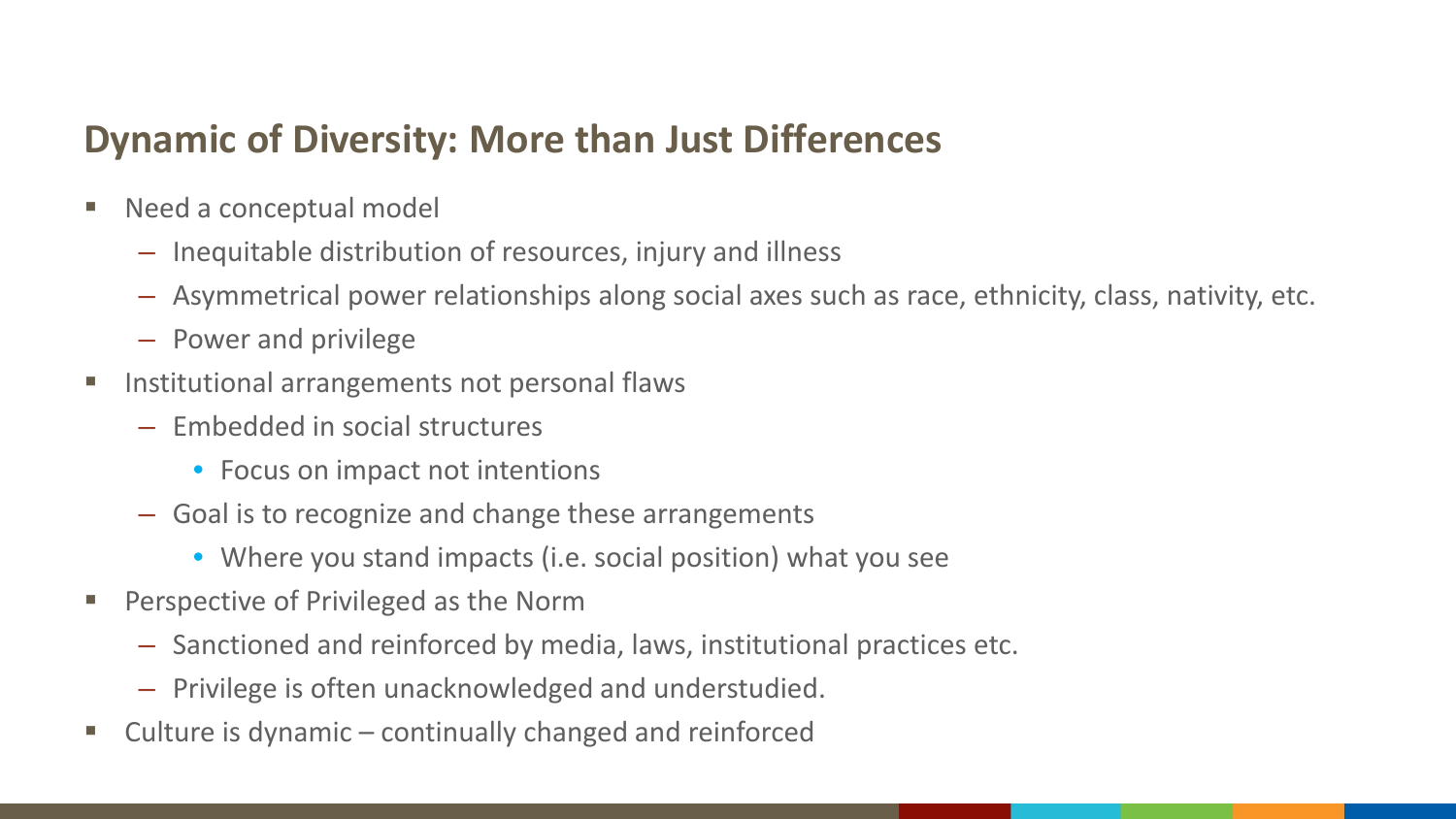## **Dynamic of Diversity: More than Just Differences**

- Need a conceptual model
	- Inequitable distribution of resources, injury and illness
	- Asymmetrical power relationships along social axes such as race, ethnicity, class, nativity, etc.
	- Power and privilege
- **Institutional arrangements not personal flaws** 
	- Embedded in social structures
		- Focus on impact not intentions
	- Goal is to recognize and change these arrangements
		- Where you stand impacts (i.e. social position) what you see
- **Perspective of Privileged as the Norm** 
	- Sanctioned and reinforced by media, laws, institutional practices etc.
	- Privilege is often unacknowledged and understudied.
- Culture is dynamic continually changed and reinforced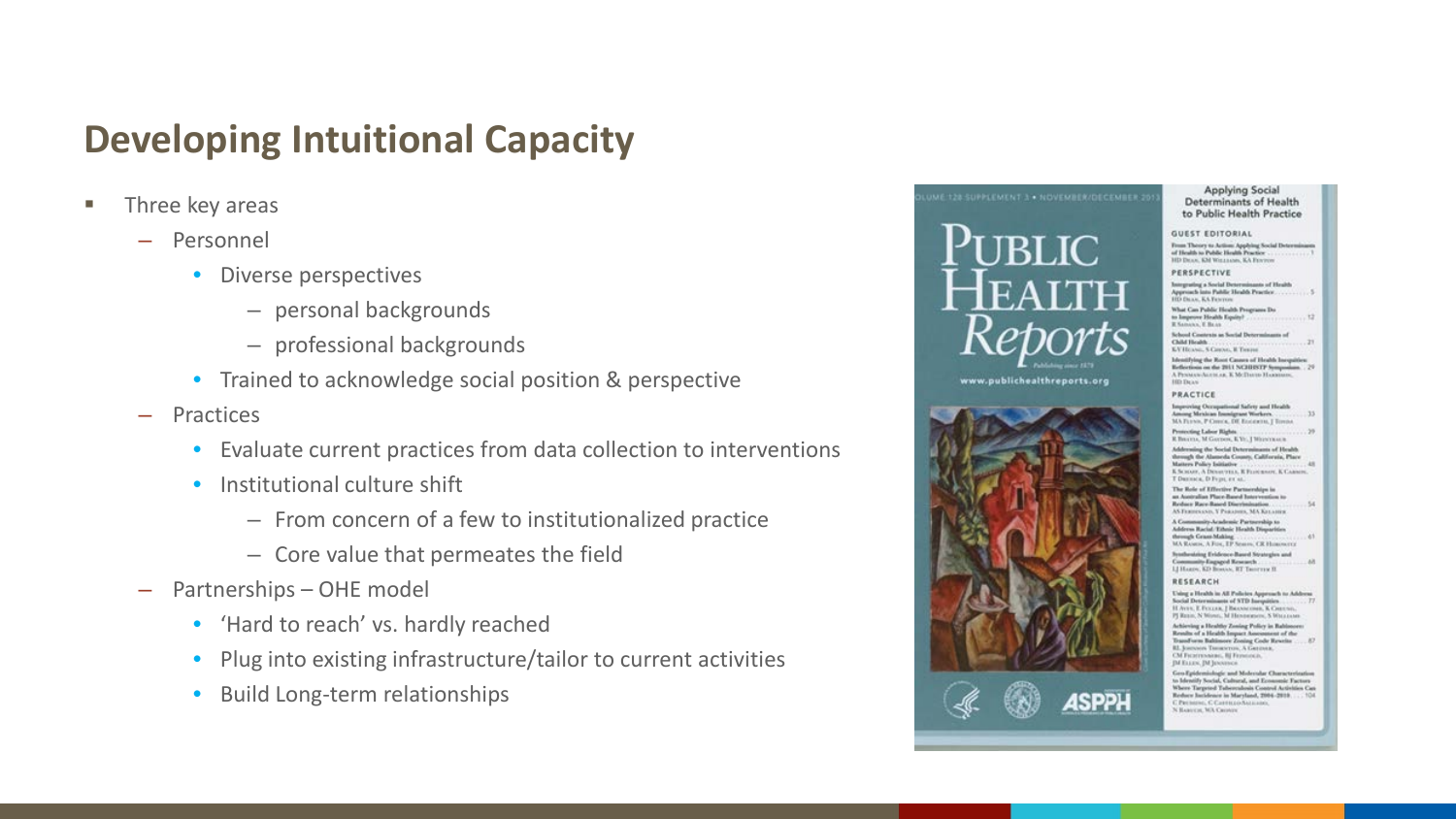## **Developing Intuitional Capacity**

- **Three key areas** 
	- Personnel
		- Diverse perspectives
			- personal backgrounds
			- professional backgrounds
		- Trained to acknowledge social position & perspective
	- Practices
		- Evaluate current practices from data collection to interventions
		- Institutional culture shift
			- From concern of a few to institutionalized practice
			- Core value that permeates the field
	- Partnerships OHE model
		- 'Hard to reach' vs. hardly reached
		- Plug into existing infrastructure/tailor to current activities
		- Build Long-term relationships



 $-33$ 

 $-54$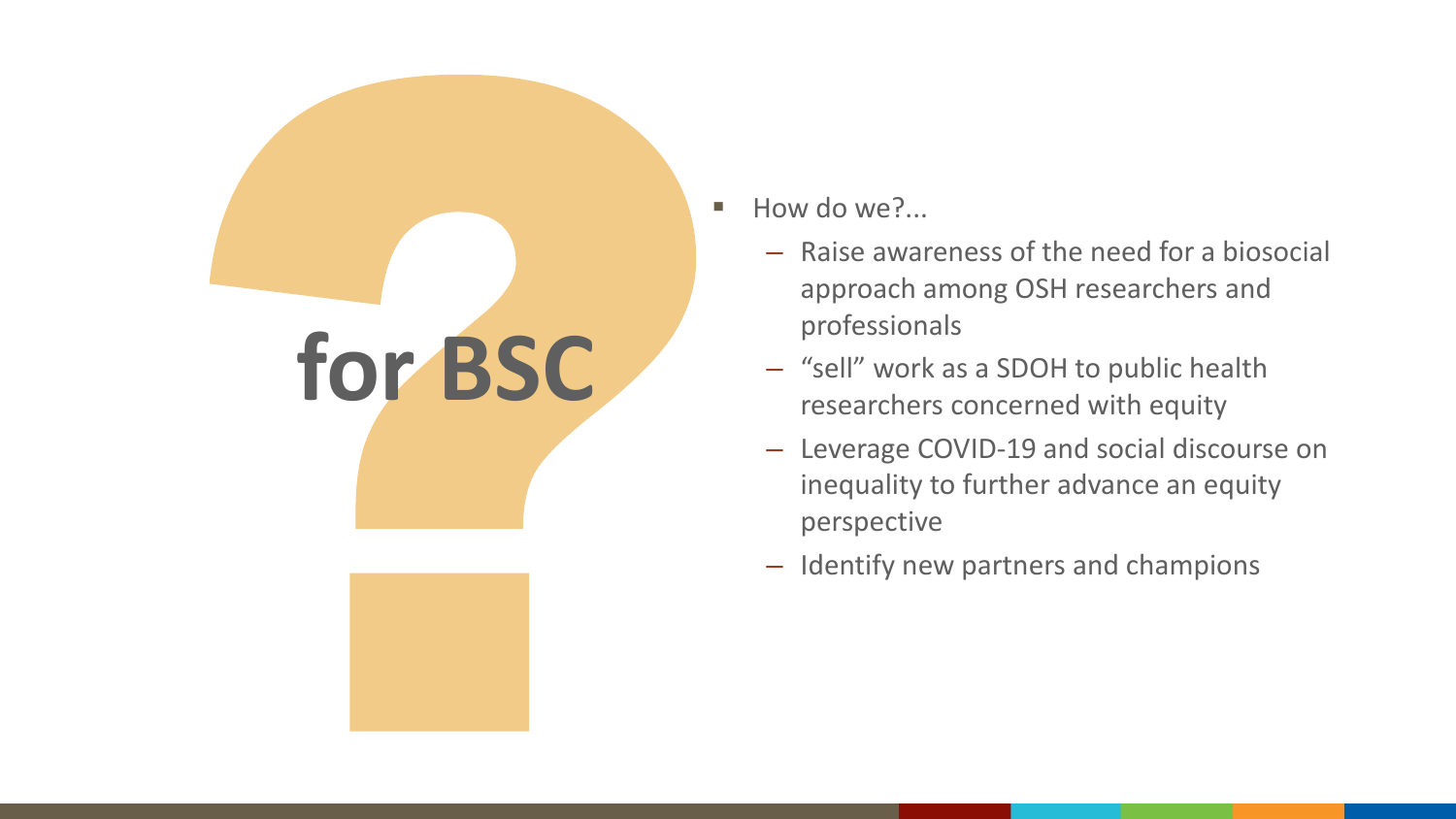

- How do we?...
	- Raise awareness of the need for a biosocial approach among OSH researchers and professionals
	- "sell" work as a SDOH to public health researchers concerned with equity
	- Leverage COVID-19 and social discourse on inequality to further advance an equity perspective
	- Identify new partners and champions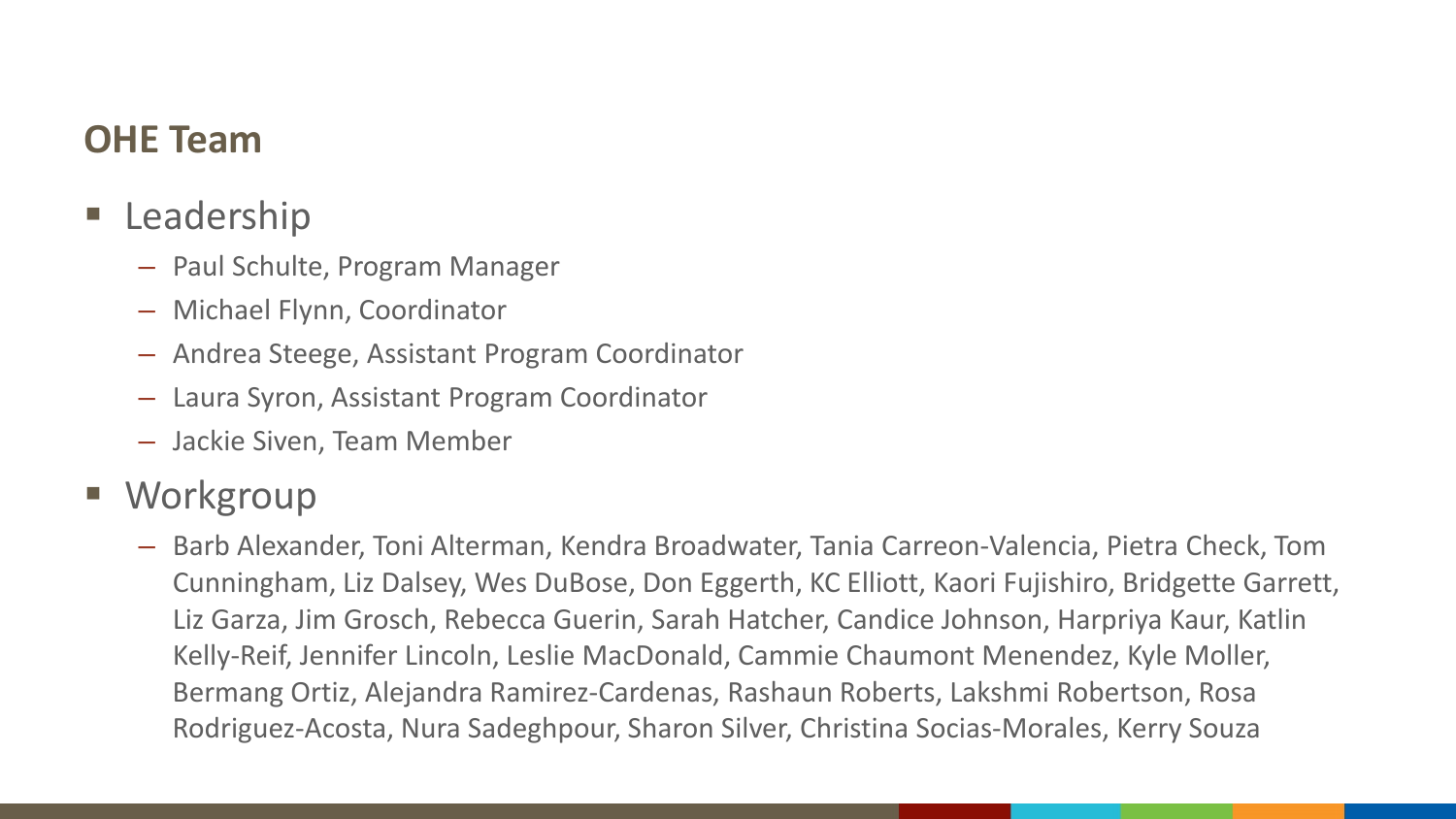## **OHE Team**

- **Leadership** 
	- Paul Schulte, Program Manager
	- Michael Flynn, Coordinator
	- Andrea Steege, Assistant Program Coordinator
	- Laura Syron, Assistant Program Coordinator
	- Jackie Siven, Team Member
- **Norkgroup** 
	- Barb Alexander, Toni Alterman, Kendra Broadwater, Tania Carreon-Valencia, Pietra Check, Tom Cunningham, Liz Dalsey, Wes DuBose, Don Eggerth, KC Elliott, Kaori Fujishiro, Bridgette Garrett, Liz Garza, Jim Grosch, Rebecca Guerin, Sarah Hatcher, Candice Johnson, Harpriya Kaur, Katlin Kelly-Reif, Jennifer Lincoln, Leslie MacDonald, Cammie Chaumont Menendez, Kyle Moller, Bermang Ortiz, Alejandra Ramirez-Cardenas, Rashaun Roberts, Lakshmi Robertson, Rosa Rodriguez-Acosta, Nura Sadeghpour, Sharon Silver, Christina Socias-Morales, Kerry Souza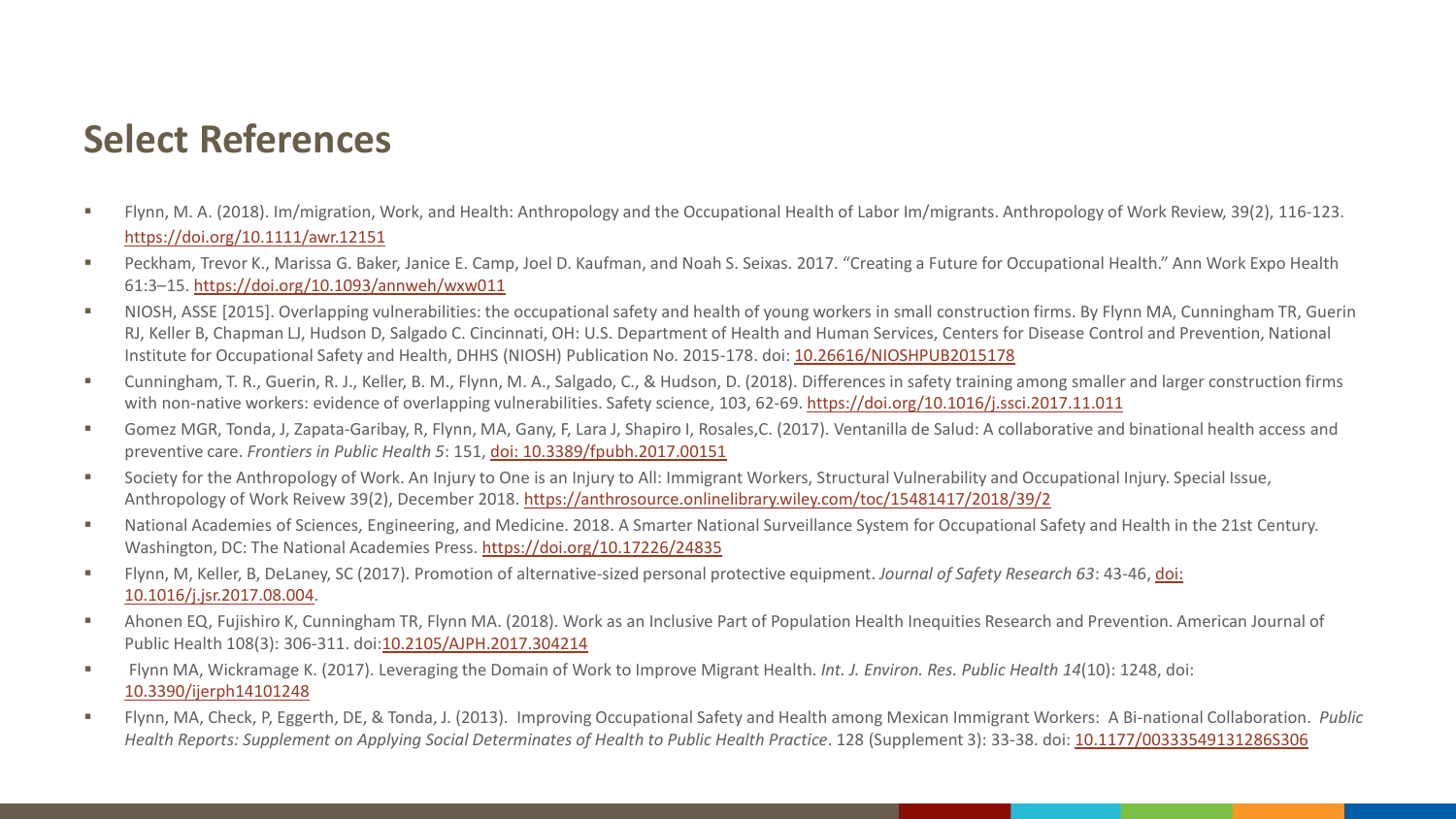## **Select References**

- Flynn, M. A. (2018). Im/migration, Work, and Health: Anthropology and the Occupational Health of Labor Im/migrants. Anthropology of Work Review, 39(2), 116-123. <https://doi.org/10.1111/awr.12151>
- Peckham, Trevor K., Marissa G. Baker, Janice E. Camp, Joel D. Kaufman, and Noah S. Seixas. 2017. "Creating a Future for Occupational Health." Ann Work Expo Health 61:3–15. <https://doi.org/10.1093/annweh/wxw011>
- NIOSH, ASSE [2015]. Overlapping vulnerabilities: the occupational safety and health of young workers in small construction firms. By Flynn MA, Cunningham TR, Guerin RJ, Keller B, Chapman LJ, Hudson D, Salgado C. Cincinnati, OH: U.S. Department of Health and Human Services, Centers for Disease Control and Prevention, National Institute for Occupational Safety and Health, DHHS (NIOSH) Publication No. 2015-178. doi: [10.26616/NIOSHPUB2015178](https://www.cdc.gov/niosh/docs/2015-178/default.html)
- Cunningham, T. R., Guerin, R. J., Keller, B. M., Flynn, M. A., Salgado, C., & Hudson, D. (2018). Differences in safety training among smaller and larger construction firms with non-native workers: evidence of overlapping vulnerabilities. Safety science, 103, 62-69.<https://doi.org/10.1016/j.ssci.2017.11.011>
- Gomez MGR, Tonda, J, Zapata-Garibay, R, Flynn, MA, Gany, F, Lara J, Shapiro I, Rosales,C. (2017). Ventanilla de Salud: A collaborative and binational health access and preventive care. *Frontiers in Public Health 5*: 151, [doi: 10.3389/fpubh.2017.00151](https://doi.org/10.3389/fpubh.2017.00151)
- Society for the Anthropology of Work. An Injury to One is an Injury to All: Immigrant Workers, Structural Vulnerability and Occupational Injury. Special Issue, Anthropology of Work Reivew 39(2), December 2018.<https://anthrosource.onlinelibrary.wiley.com/toc/15481417/2018/39/2>
- National Academies of Sciences, Engineering, and Medicine. 2018. A Smarter National Surveillance System for Occupational Safety and Health in the 21st Century. Washington, DC: The National Academies Press. <https://doi.org/10.17226/24835>
- [Flynn, M, Keller, B, DeLaney, SC \(2017\). Promotion of alternative-sized personal protective equipment.](http://dx.doi.org/10.1016/j.jsr.2017.08.004) *Journal of Safety Research 63*: 43-46, doi: 10.1016/j.jsr.2017.08.004.
- Ahonen EQ, Fujishiro K, Cunningham TR, Flynn MA. (2018). Work as an Inclusive Part of Population Health Inequities Research and Prevention. American Journal of Public Health 108(3): 306-311. doi:[10.2105/AJPH.2017.304214](https://ajph.aphapublications.org/doi/full/10.2105/AJPH.2017.304214)
- Flynn MA, Wickramage K. (2017). Leveraging the Domain of Work to Improve Migrant Health. *Int. J. Environ. Res. Public Health 14*(10): 1248, doi: [10.3390/ijerph14101248](https://doi.org/10.3390/ijerph14101248)
- Flynn, MA, Check, P, Eggerth, DE, & Tonda, J. (2013). Improving Occupational Safety and Health among Mexican Immigrant Workers: A Bi-national Collaboration. *Public Health Reports: Supplement on Applying Social Determinates of Health to Public Health Practice*. 128 (Supplement 3): 33-38. doi: [10.1177/00333549131286S306](https://doi.org/10.1177/00333549131286S306)